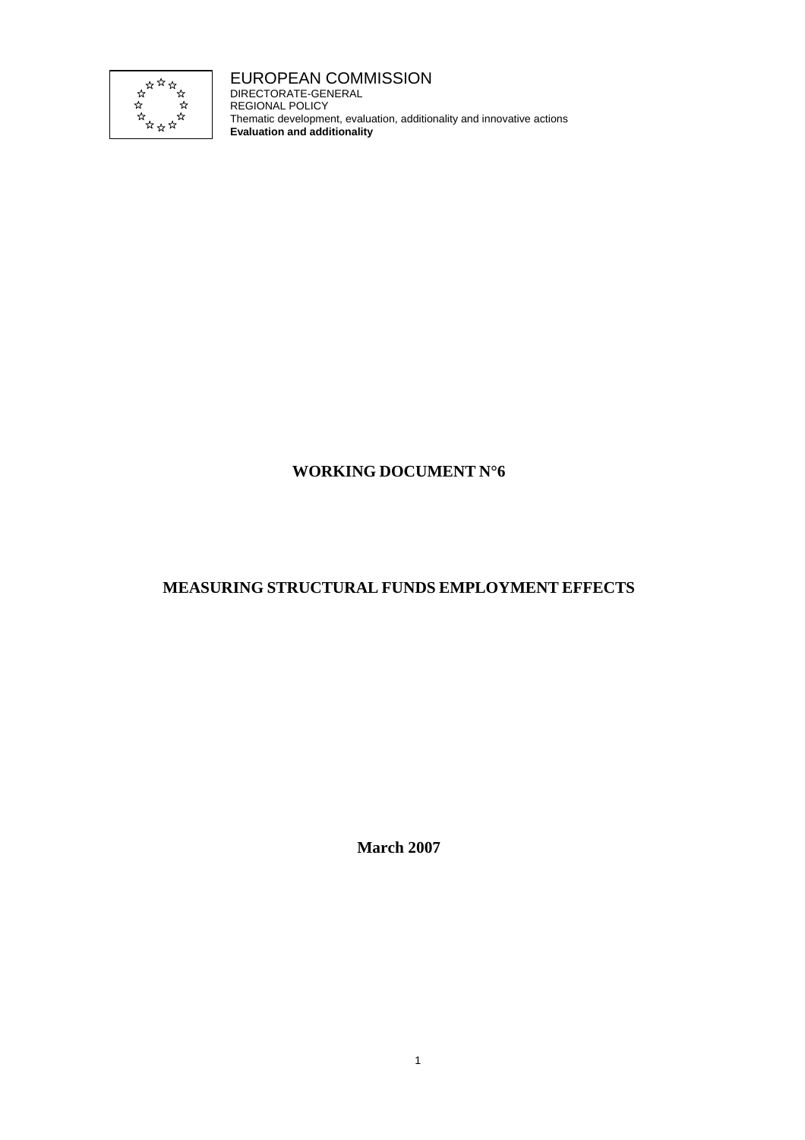

EUROPEAN COMMISSION DIRECTORATE-GENERAL REGIONAL POLICY Thematic development, evaluation, additionality and innovative actions **Evaluation and additionality**

# **WORKING DOCUMENT N°6**

# **MEASURING STRUCTURAL FUNDS EMPLOYMENT EFFECTS**

**March 2007**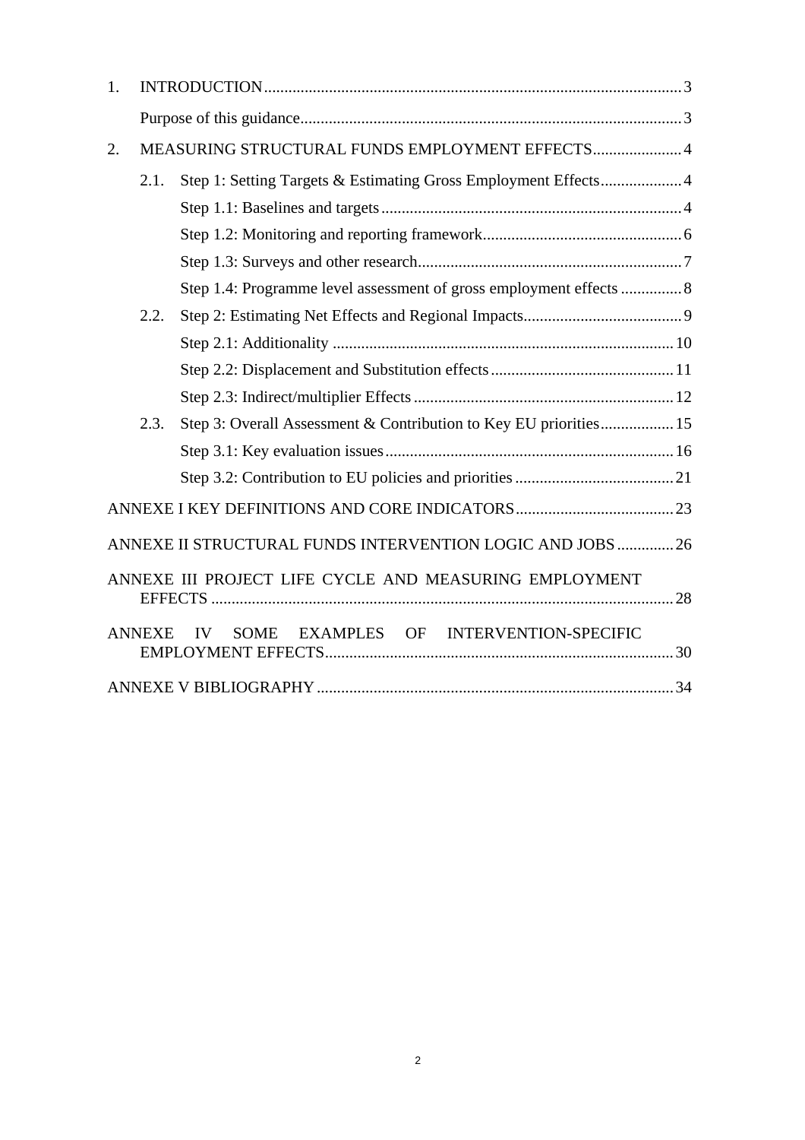| 1.                                                         |                                                 |                                                                     |  |  |
|------------------------------------------------------------|-------------------------------------------------|---------------------------------------------------------------------|--|--|
|                                                            |                                                 |                                                                     |  |  |
| 2.                                                         | MEASURING STRUCTURAL FUNDS EMPLOYMENT EFFECTS 4 |                                                                     |  |  |
|                                                            | 2.1.                                            | Step 1: Setting Targets & Estimating Gross Employment Effects 4     |  |  |
|                                                            |                                                 |                                                                     |  |  |
|                                                            |                                                 |                                                                     |  |  |
|                                                            |                                                 |                                                                     |  |  |
|                                                            |                                                 | Step 1.4: Programme level assessment of gross employment effects  8 |  |  |
|                                                            | 2.2.                                            |                                                                     |  |  |
|                                                            |                                                 |                                                                     |  |  |
|                                                            |                                                 |                                                                     |  |  |
|                                                            |                                                 |                                                                     |  |  |
|                                                            | 2.3.                                            | Step 3: Overall Assessment & Contribution to Key EU priorities 15   |  |  |
|                                                            |                                                 |                                                                     |  |  |
|                                                            |                                                 |                                                                     |  |  |
|                                                            |                                                 |                                                                     |  |  |
| ANNEXE II STRUCTURAL FUNDS INTERVENTION LOGIC AND JOBS  26 |                                                 |                                                                     |  |  |
| ANNEXE III PROJECT LIFE CYCLE AND MEASURING EMPLOYMENT     |                                                 |                                                                     |  |  |
|                                                            | <b>ANNEXE</b>                                   | EXAMPLES OF INTERVENTION-SPECIFIC<br><b>IV</b><br><b>SOME</b>       |  |  |
|                                                            |                                                 |                                                                     |  |  |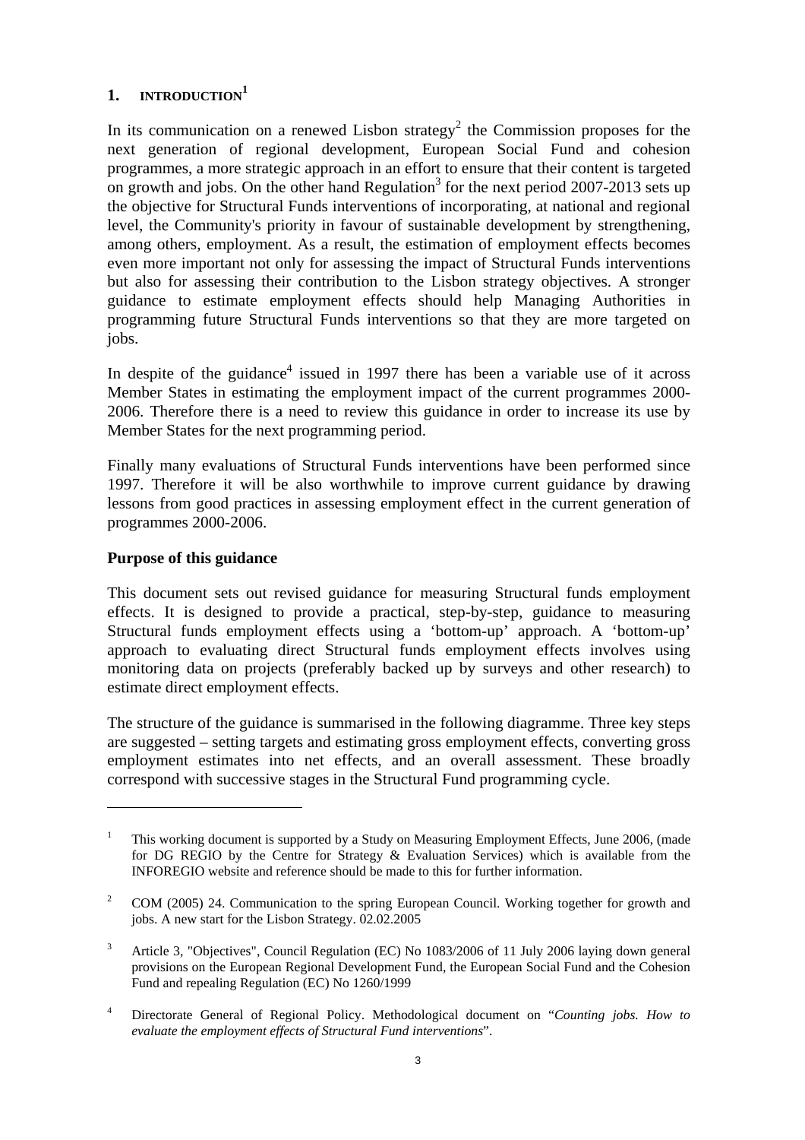## <span id="page-2-0"></span>**1. INTRODUCTION1**

In its communication on a renewed Lisbon strategy<sup>2</sup> the Commission proposes for the next generation of regional development, European Social Fund and cohesion programmes, a more strategic approach in an effort to ensure that their content is targeted on growth and jobs. On the other hand Regulation<sup>3</sup> for the next period 2007-2013 sets up the objective for Structural Funds interventions of incorporating, at national and regional level, the Community's priority in favour of sustainable development by strengthening, among others, employment. As a result, the estimation of employment effects becomes even more important not only for assessing the impact of Structural Funds interventions but also for assessing their contribution to the Lisbon strategy objectives. A stronger guidance to estimate employment effects should help Managing Authorities in programming future Structural Funds interventions so that they are more targeted on jobs.

In despite of the guidance<sup>4</sup> issued in 1997 there has been a variable use of it across Member States in estimating the employment impact of the current programmes 2000- 2006. Therefore there is a need to review this guidance in order to increase its use by Member States for the next programming period.

Finally many evaluations of Structural Funds interventions have been performed since 1997. Therefore it will be also worthwhile to improve current guidance by drawing lessons from good practices in assessing employment effect in the current generation of programmes 2000-2006.

## <span id="page-2-1"></span>**Purpose of this guidance**

 $\overline{a}$ 

This document sets out revised guidance for measuring Structural funds employment effects. It is designed to provide a practical, step-by-step, guidance to measuring Structural funds employment effects using a 'bottom-up' approach. A 'bottom-up' approach to evaluating direct Structural funds employment effects involves using monitoring data on projects (preferably backed up by surveys and other research) to estimate direct employment effects.

The structure of the guidance is summarised in the following diagramme. Three key steps are suggested – setting targets and estimating gross employment effects, converting gross employment estimates into net effects, and an overall assessment. These broadly correspond with successive stages in the Structural Fund programming cycle.

<sup>1</sup> This working document is supported by a Study on Measuring Employment Effects, June 2006, (made for DG REGIO by the Centre for Strategy & Evaluation Services) which is available from the INFOREGIO website and reference should be made to this for further information.

<sup>2</sup> COM (2005) 24. Communication to the spring European Council. Working together for growth and jobs. A new start for the Lisbon Strategy. 02.02.2005

<sup>3</sup> Article 3*,* "Objectives", Council Regulation (EC) No 1083/2006 of 11 July 2006 laying down general provisions on the European Regional Development Fund, the European Social Fund and the Cohesion Fund and repealing Regulation (EC) No 1260/1999

<sup>4</sup> Directorate General of Regional Policy. Methodological document on "*Counting jobs. How to evaluate the employment effects of Structural Fund interventions*".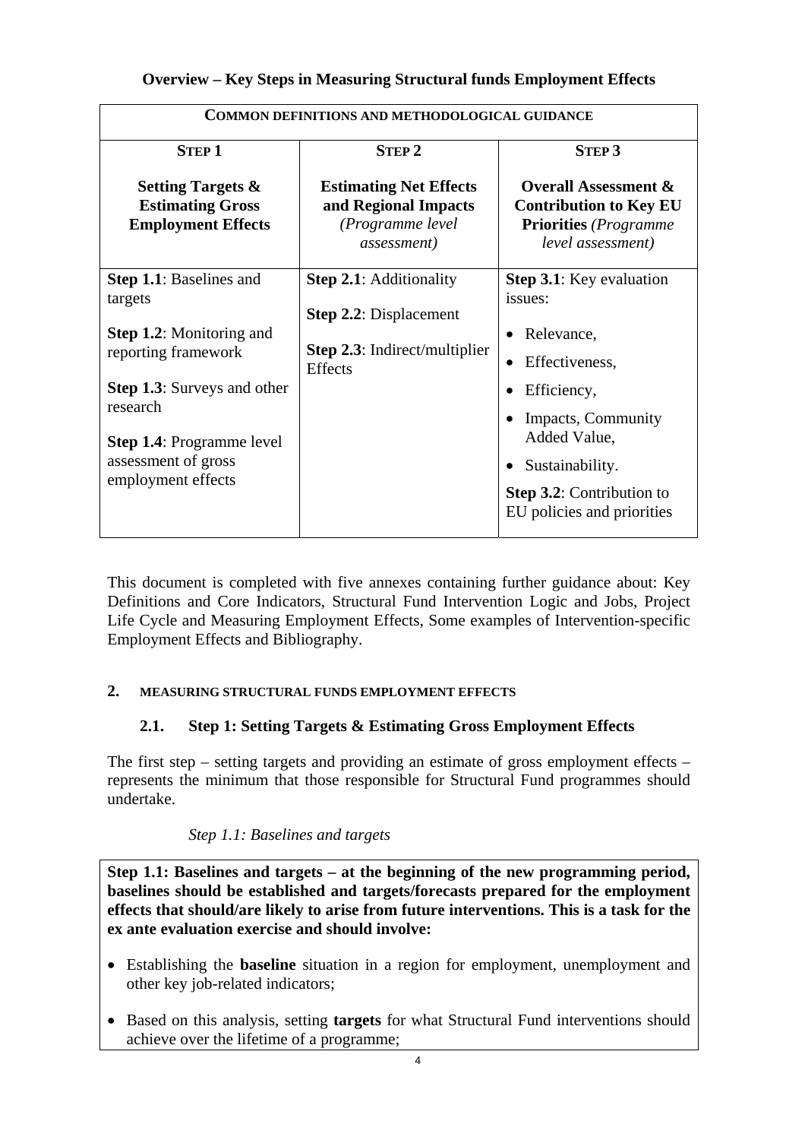| <b>COMMON DEFINITIONS AND METHODOLOGICAL GUIDANCE</b>                                                                                                                                                                                  |                                                                                                                           |                                                                                                                                                                                                                                                |  |  |  |
|----------------------------------------------------------------------------------------------------------------------------------------------------------------------------------------------------------------------------------------|---------------------------------------------------------------------------------------------------------------------------|------------------------------------------------------------------------------------------------------------------------------------------------------------------------------------------------------------------------------------------------|--|--|--|
| <b>STEP 1</b>                                                                                                                                                                                                                          | <b>STEP 2</b>                                                                                                             | <b>STEP 3</b>                                                                                                                                                                                                                                  |  |  |  |
| <b>Setting Targets &amp;</b><br><b>Estimating Gross</b><br><b>Employment Effects</b>                                                                                                                                                   | <b>Estimating Net Effects</b><br>and Regional Impacts<br>(Programme level<br><i>assessment</i> )                          | <b>Overall Assessment &amp;</b><br><b>Contribution to Key EU</b><br><b>Priorities</b> (Programme<br>level assessment)                                                                                                                          |  |  |  |
| <b>Step 1.1:</b> Baselines and<br>targets<br><b>Step 1.2:</b> Monitoring and<br>reporting framework<br><b>Step 1.3:</b> Surveys and other<br>research<br><b>Step 1.4: Programme level</b><br>assessment of gross<br>employment effects | <b>Step 2.1:</b> Additionality<br><b>Step 2.2:</b> Displacement<br><b>Step 2.3:</b> Indirect/multiplier<br><b>Effects</b> | <b>Step 3.1:</b> Key evaluation<br>issues:<br>Relevance,<br>$\bullet$<br>Effectiveness,<br>$\bullet$<br>Efficiency,<br>Impacts, Community<br>Added Value,<br>Sustainability.<br><b>Step 3.2:</b> Contribution to<br>EU policies and priorities |  |  |  |

This document is completed with five annexes containing further guidance about: Key Definitions and Core Indicators, Structural Fund Intervention Logic and Jobs, Project Life Cycle and Measuring Employment Effects, Some examples of Intervention-specific Employment Effects and Bibliography.

# <span id="page-3-1"></span><span id="page-3-0"></span>**2. MEASURING STRUCTURAL FUNDS EMPLOYMENT EFFECTS**

# **2.1. Step 1: Setting Targets & Estimating Gross Employment Effects**

The first step – setting targets and providing an estimate of gross employment effects – represents the minimum that those responsible for Structural Fund programmes should undertake.

# *Step 1.1: Baselines and targets*

<span id="page-3-2"></span>**Step 1.1: Baselines and targets – at the beginning of the new programming period, baselines should be established and targets/forecasts prepared for the employment effects that should/are likely to arise from future interventions. This is a task for the ex ante evaluation exercise and should involve:** 

- Establishing the **baseline** situation in a region for employment, unemployment and other key job-related indicators;
- Based on this analysis, setting **targets** for what Structural Fund interventions should achieve over the lifetime of a programme;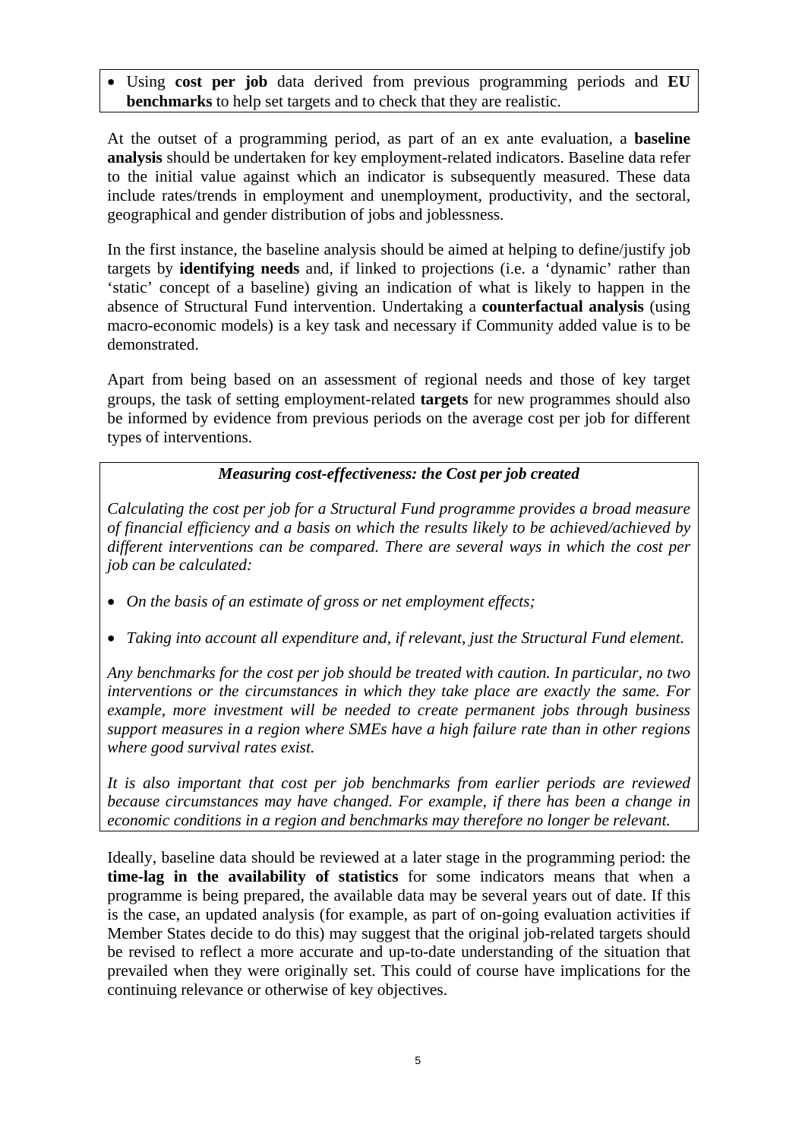• Using **cost per job** data derived from previous programming periods and **EU benchmarks** to help set targets and to check that they are realistic.

At the outset of a programming period, as part of an ex ante evaluation, a **baseline analysis** should be undertaken for key employment-related indicators. Baseline data refer to the initial value against which an indicator is subsequently measured. These data include rates/trends in employment and unemployment, productivity, and the sectoral, geographical and gender distribution of jobs and joblessness.

In the first instance, the baseline analysis should be aimed at helping to define/justify job targets by **identifying needs** and, if linked to projections (i.e. a 'dynamic' rather than 'static' concept of a baseline) giving an indication of what is likely to happen in the absence of Structural Fund intervention. Undertaking a **counterfactual analysis** (using macro-economic models) is a key task and necessary if Community added value is to be demonstrated.

Apart from being based on an assessment of regional needs and those of key target groups, the task of setting employment-related **targets** for new programmes should also be informed by evidence from previous periods on the average cost per job for different types of interventions.

## *Measuring cost-effectiveness: the Cost per job created*

*Calculating the cost per job for a Structural Fund programme provides a broad measure of financial efficiency and a basis on which the results likely to be achieved/achieved by different interventions can be compared. There are several ways in which the cost per job can be calculated:* 

- On the basis of an estimate of gross or net employment effects;
- *Taking into account all expenditure and, if relevant, just the Structural Fund element.*

*Any benchmarks for the cost per job should be treated with caution. In particular, no two interventions or the circumstances in which they take place are exactly the same. For example, more investment will be needed to create permanent jobs through business support measures in a region where SMEs have a high failure rate than in other regions where good survival rates exist.* 

*It is also important that cost per job benchmarks from earlier periods are reviewed because circumstances may have changed. For example, if there has been a change in economic conditions in a region and benchmarks may therefore no longer be relevant.* 

Ideally, baseline data should be reviewed at a later stage in the programming period: the **time-lag in the availability of statistics** for some indicators means that when a programme is being prepared, the available data may be several years out of date. If this is the case, an updated analysis (for example, as part of on-going evaluation activities if Member States decide to do this) may suggest that the original job-related targets should be revised to reflect a more accurate and up-to-date understanding of the situation that prevailed when they were originally set. This could of course have implications for the continuing relevance or otherwise of key objectives.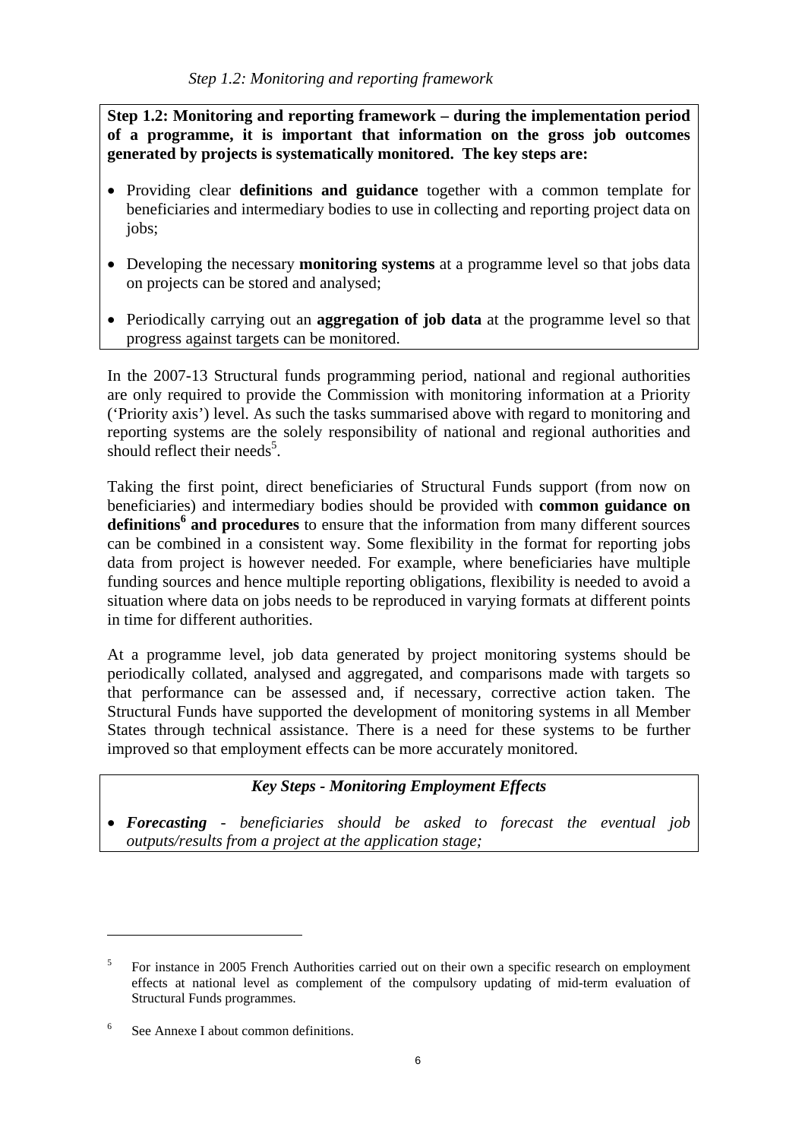<span id="page-5-0"></span>**Step 1.2: Monitoring and reporting framework – during the implementation period of a programme, it is important that information on the gross job outcomes generated by projects is systematically monitored. The key steps are:** 

- Providing clear **definitions and guidance** together with a common template for beneficiaries and intermediary bodies to use in collecting and reporting project data on jobs;
- Developing the necessary **monitoring systems** at a programme level so that jobs data on projects can be stored and analysed;
- Periodically carrying out an **aggregation of job data** at the programme level so that progress against targets can be monitored.

In the 2007-13 Structural funds programming period, national and regional authorities are only required to provide the Commission with monitoring information at a Priority ('Priority axis') level. As such the tasks summarised above with regard to monitoring and reporting systems are the solely responsibility of national and regional authorities and should reflect their needs<sup>5</sup>.

Taking the first point, direct beneficiaries of Structural Funds support (from now on beneficiaries) and intermediary bodies should be provided with **common guidance on definitions<sup>6</sup> and procedures** to ensure that the information from many different sources can be combined in a consistent way. Some flexibility in the format for reporting jobs data from project is however needed. For example, where beneficiaries have multiple funding sources and hence multiple reporting obligations, flexibility is needed to avoid a situation where data on jobs needs to be reproduced in varying formats at different points in time for different authorities.

At a programme level, job data generated by project monitoring systems should be periodically collated, analysed and aggregated, and comparisons made with targets so that performance can be assessed and, if necessary, corrective action taken. The Structural Funds have supported the development of monitoring systems in all Member States through technical assistance. There is a need for these systems to be further improved so that employment effects can be more accurately monitored.

## *Key Steps - Monitoring Employment Effects*

• *Forecasting - beneficiaries should be asked to forecast the eventual job outputs/results from a project at the application stage;* 

 $\overline{a}$ 

<sup>5</sup> For instance in 2005 French Authorities carried out on their own a specific research on employment effects at national level as complement of the compulsory updating of mid-term evaluation of Structural Funds programmes.

<sup>6</sup> See Annexe I about common definitions.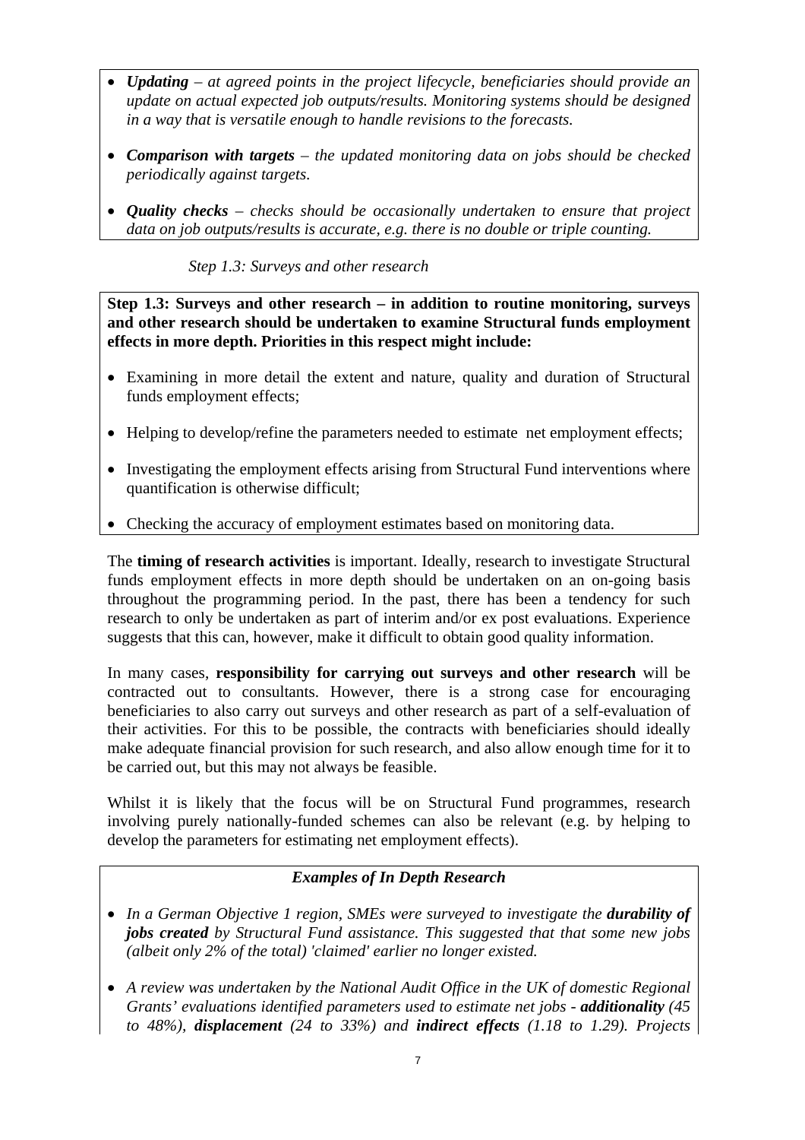- *Updating at agreed points in the project lifecycle, beneficiaries should provide an update on actual expected job outputs/results. Monitoring systems should be designed in a way that is versatile enough to handle revisions to the forecasts.*
- *Comparison with targets the updated monitoring data on jobs should be checked periodically against targets.*
- <span id="page-6-0"></span>• *Quality checks – checks should be occasionally undertaken to ensure that project data on job outputs/results is accurate, e.g. there is no double or triple counting.*

*Step 1.3: Surveys and other research* 

**Step 1.3: Surveys and other research – in addition to routine monitoring, surveys and other research should be undertaken to examine Structural funds employment effects in more depth. Priorities in this respect might include:** 

- Examining in more detail the extent and nature, quality and duration of Structural funds employment effects;
- Helping to develop/refine the parameters needed to estimate net employment effects;
- Investigating the employment effects arising from Structural Fund interventions where quantification is otherwise difficult;
- Checking the accuracy of employment estimates based on monitoring data.

The **timing of research activities** is important. Ideally, research to investigate Structural funds employment effects in more depth should be undertaken on an on-going basis throughout the programming period. In the past, there has been a tendency for such research to only be undertaken as part of interim and/or ex post evaluations. Experience suggests that this can, however, make it difficult to obtain good quality information.

In many cases, **responsibility for carrying out surveys and other research** will be contracted out to consultants. However, there is a strong case for encouraging beneficiaries to also carry out surveys and other research as part of a self-evaluation of their activities. For this to be possible, the contracts with beneficiaries should ideally make adequate financial provision for such research, and also allow enough time for it to be carried out, but this may not always be feasible.

Whilst it is likely that the focus will be on Structural Fund programmes, research involving purely nationally-funded schemes can also be relevant (e.g. by helping to develop the parameters for estimating net employment effects).

## *Examples of In Depth Research*

- In a German Objective 1 region, SMEs were surveyed to investigate the *durability of jobs created by Structural Fund assistance. This suggested that that some new jobs (albeit only 2% of the total) 'claimed' earlier no longer existed.*
- *A review was undertaken by the National Audit Office in the UK of domestic Regional Grants' evaluations identified parameters used to estimate net jobs - additionality (45 to 48%), displacement (24 to 33%) and indirect effects (1.18 to 1.29). Projects*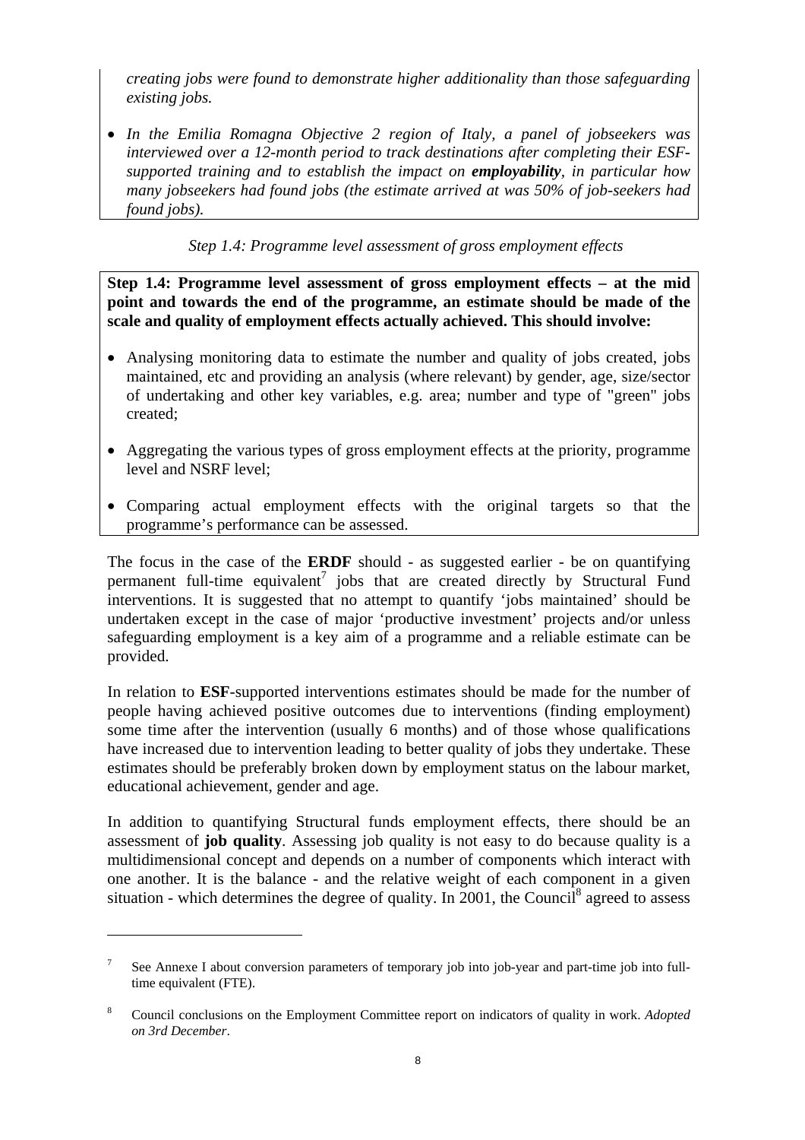*creating jobs were found to demonstrate higher additionality than those safeguarding existing jobs.* 

• *In the Emilia Romagna Objective 2 region of Italy, a panel of jobseekers was interviewed over a 12-month period to track destinations after completing their ESFsupported training and to establish the impact on employability, in particular how many jobseekers had found jobs (the estimate arrived at was 50% of job-seekers had found jobs).* 

*Step 1.4: Programme level assessment of gross employment effects* 

<span id="page-7-0"></span>**Step 1.4: Programme level assessment of gross employment effects – at the mid point and towards the end of the programme, an estimate should be made of the scale and quality of employment effects actually achieved. This should involve:** 

- Analysing monitoring data to estimate the number and quality of jobs created, jobs maintained, etc and providing an analysis (where relevant) by gender, age, size/sector of undertaking and other key variables, e.g. area; number and type of "green" jobs created;
- Aggregating the various types of gross employment effects at the priority, programme level and NSRF level;
- Comparing actual employment effects with the original targets so that the programme's performance can be assessed.

The focus in the case of the **ERDF** should - as suggested earlier - be on quantifying permanent full-time equivalent<sup>7</sup> jobs that are created directly by Structural Fund interventions. It is suggested that no attempt to quantify 'jobs maintained' should be undertaken except in the case of major 'productive investment' projects and/or unless safeguarding employment is a key aim of a programme and a reliable estimate can be provided.

In relation to **ESF**-supported interventions estimates should be made for the number of people having achieved positive outcomes due to interventions (finding employment) some time after the intervention (usually 6 months) and of those whose qualifications have increased due to intervention leading to better quality of jobs they undertake. These estimates should be preferably broken down by employment status on the labour market, educational achievement, gender and age.

In addition to quantifying Structural funds employment effects, there should be an assessment of **job quality**. Assessing job quality is not easy to do because quality is a multidimensional concept and depends on a number of components which interact with one another. It is the balance - and the relative weight of each component in a given situation - which determines the degree of quality. In 2001, the Council<sup>8</sup> agreed to assess

 $\overline{a}$ 

<sup>7</sup> See Annexe I about conversion parameters of temporary job into job-year and part-time job into fulltime equivalent (FTE).

<sup>8</sup> Council conclusions on the Employment Committee report on indicators of quality in work. *Adopted on 3rd December*.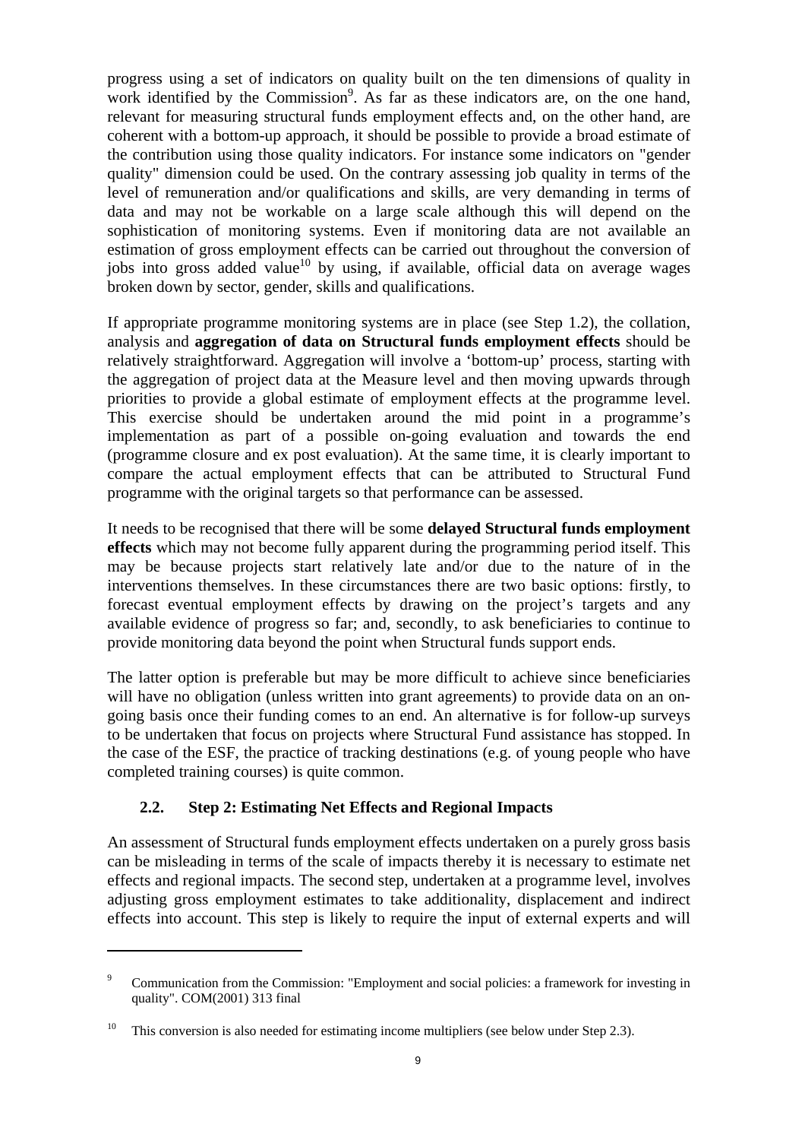progress using a set of indicators on quality built on the ten dimensions of quality in work identified by the Commission<sup>9</sup>. As far as these indicators are, on the one hand, relevant for measuring structural funds employment effects and, on the other hand, are coherent with a bottom-up approach, it should be possible to provide a broad estimate of the contribution using those quality indicators. For instance some indicators on "gender quality" dimension could be used. On the contrary assessing job quality in terms of the level of remuneration and/or qualifications and skills, are very demanding in terms of data and may not be workable on a large scale although this will depend on the sophistication of monitoring systems. Even if monitoring data are not available an estimation of gross employment effects can be carried out throughout the conversion of jobs into gross added value<sup>10</sup> by using, if available, official data on average wages broken down by sector, gender, skills and qualifications.

If appropriate programme monitoring systems are in place (see Step 1.2), the collation, analysis and **aggregation of data on Structural funds employment effects** should be relatively straightforward. Aggregation will involve a 'bottom-up' process, starting with the aggregation of project data at the Measure level and then moving upwards through priorities to provide a global estimate of employment effects at the programme level. This exercise should be undertaken around the mid point in a programme's implementation as part of a possible on-going evaluation and towards the end (programme closure and ex post evaluation). At the same time, it is clearly important to compare the actual employment effects that can be attributed to Structural Fund programme with the original targets so that performance can be assessed.

It needs to be recognised that there will be some **delayed Structural funds employment effects** which may not become fully apparent during the programming period itself. This may be because projects start relatively late and/or due to the nature of in the interventions themselves. In these circumstances there are two basic options: firstly, to forecast eventual employment effects by drawing on the project's targets and any available evidence of progress so far; and, secondly, to ask beneficiaries to continue to provide monitoring data beyond the point when Structural funds support ends.

The latter option is preferable but may be more difficult to achieve since beneficiaries will have no obligation (unless written into grant agreements) to provide data on an ongoing basis once their funding comes to an end. An alternative is for follow-up surveys to be undertaken that focus on projects where Structural Fund assistance has stopped. In the case of the ESF, the practice of tracking destinations (e.g. of young people who have completed training courses) is quite common.

## **2.2. Step 2: Estimating Net Effects and Regional Impacts**

 $\overline{a}$ 

<span id="page-8-0"></span>An assessment of Structural funds employment effects undertaken on a purely gross basis can be misleading in terms of the scale of impacts thereby it is necessary to estimate net effects and regional impacts. The second step, undertaken at a programme level, involves adjusting gross employment estimates to take additionality, displacement and indirect effects into account. This step is likely to require the input of external experts and will

<sup>9</sup> Communication from the Commission: "Employment and social policies: a framework for investing in quality". COM(2001) 313 final

<sup>&</sup>lt;sup>10</sup> This conversion is also needed for estimating income multipliers (see below under Step 2.3).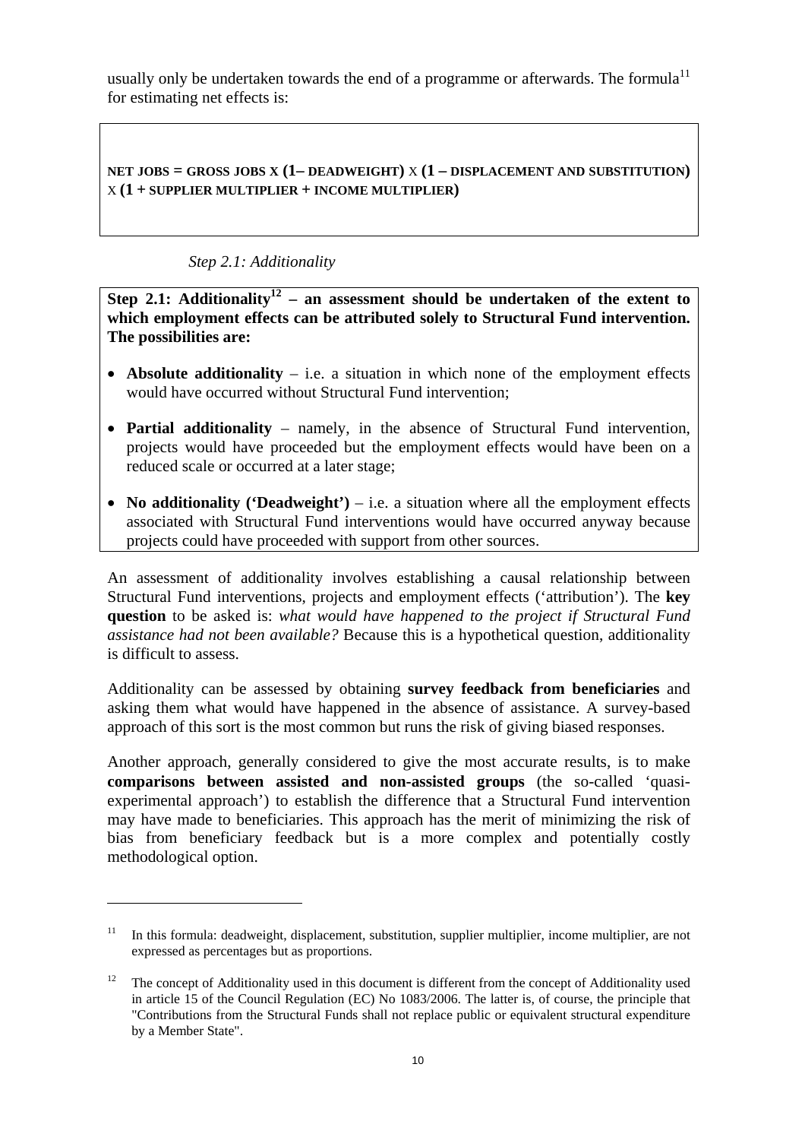usually only be undertaken towards the end of a programme or afterwards. The formula<sup>11</sup> for estimating net effects is:

**NET JOBS = GROSS JOBS X (1– DEADWEIGHT)** X **(1 – DISPLACEMENT AND SUBSTITUTION)** X **(1 + SUPPLIER MULTIPLIER + INCOME MULTIPLIER)** 

## *Step 2.1: Additionality*

 $\overline{a}$ 

<span id="page-9-0"></span>**Step 2.1:** Additionality<sup>12</sup> – an assessment should be undertaken of the extent to **which employment effects can be attributed solely to Structural Fund intervention. The possibilities are:** 

- **Absolute additionality** i.e. a situation in which none of the employment effects would have occurred without Structural Fund intervention;
- **Partial additionality** namely, in the absence of Structural Fund intervention, projects would have proceeded but the employment effects would have been on a reduced scale or occurred at a later stage;
- **No additionality ('Deadweight')** i.e. a situation where all the employment effects associated with Structural Fund interventions would have occurred anyway because projects could have proceeded with support from other sources.

An assessment of additionality involves establishing a causal relationship between Structural Fund interventions, projects and employment effects ('attribution'). The **key question** to be asked is: *what would have happened to the project if Structural Fund assistance had not been available?* Because this is a hypothetical question, additionality is difficult to assess.

Additionality can be assessed by obtaining **survey feedback from beneficiaries** and asking them what would have happened in the absence of assistance. A survey-based approach of this sort is the most common but runs the risk of giving biased responses.

Another approach, generally considered to give the most accurate results, is to make **comparisons between assisted and non-assisted groups** (the so-called 'quasiexperimental approach') to establish the difference that a Structural Fund intervention may have made to beneficiaries. This approach has the merit of minimizing the risk of bias from beneficiary feedback but is a more complex and potentially costly methodological option.

<sup>11</sup> In this formula: deadweight, displacement, substitution, supplier multiplier, income multiplier, are not expressed as percentages but as proportions.

<sup>&</sup>lt;sup>12</sup> The concept of Additionality used in this document is different from the concept of Additionality used in article 15 of the Council Regulation (EC) No 1083/2006. The latter is, of course, the principle that "Contributions from the Structural Funds shall not replace public or equivalent structural expenditure by a Member State".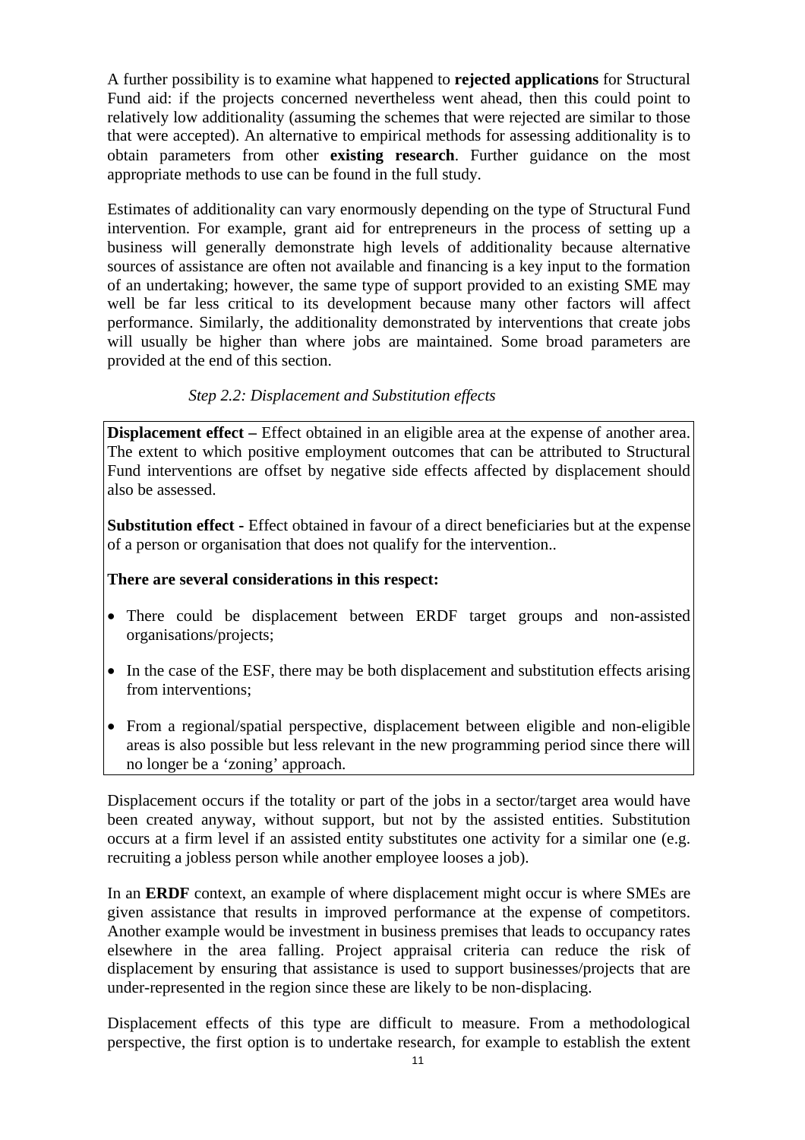A further possibility is to examine what happened to **rejected applications** for Structural Fund aid: if the projects concerned nevertheless went ahead, then this could point to relatively low additionality (assuming the schemes that were rejected are similar to those that were accepted). An alternative to empirical methods for assessing additionality is to obtain parameters from other **existing research**. Further guidance on the most appropriate methods to use can be found in the full study.

Estimates of additionality can vary enormously depending on the type of Structural Fund intervention. For example, grant aid for entrepreneurs in the process of setting up a business will generally demonstrate high levels of additionality because alternative sources of assistance are often not available and financing is a key input to the formation of an undertaking; however, the same type of support provided to an existing SME may well be far less critical to its development because many other factors will affect performance. Similarly, the additionality demonstrated by interventions that create jobs will usually be higher than where jobs are maintained. Some broad parameters are provided at the end of this section.

## *Step 2.2: Displacement and Substitution effects*

<span id="page-10-0"></span>**Displacement effect –** Effect obtained in an eligible area at the expense of another area. The extent to which positive employment outcomes that can be attributed to Structural Fund interventions are offset by negative side effects affected by displacement should also be assessed.

**Substitution effect -** Effect obtained in favour of a direct beneficiaries but at the expense of a person or organisation that does not qualify for the intervention..

### **There are several considerations in this respect:**

- There could be displacement between ERDF target groups and non-assisted organisations/projects;
- In the case of the ESF, there may be both displacement and substitution effects arising from interventions;
- From a regional/spatial perspective, displacement between eligible and non-eligible areas is also possible but less relevant in the new programming period since there will no longer be a 'zoning' approach.

Displacement occurs if the totality or part of the jobs in a sector/target area would have been created anyway, without support, but not by the assisted entities. Substitution occurs at a firm level if an assisted entity substitutes one activity for a similar one (e.g. recruiting a jobless person while another employee looses a job).

In an **ERDF** context, an example of where displacement might occur is where SMEs are given assistance that results in improved performance at the expense of competitors. Another example would be investment in business premises that leads to occupancy rates elsewhere in the area falling. Project appraisal criteria can reduce the risk of displacement by ensuring that assistance is used to support businesses/projects that are under-represented in the region since these are likely to be non-displacing.

Displacement effects of this type are difficult to measure. From a methodological perspective, the first option is to undertake research, for example to establish the extent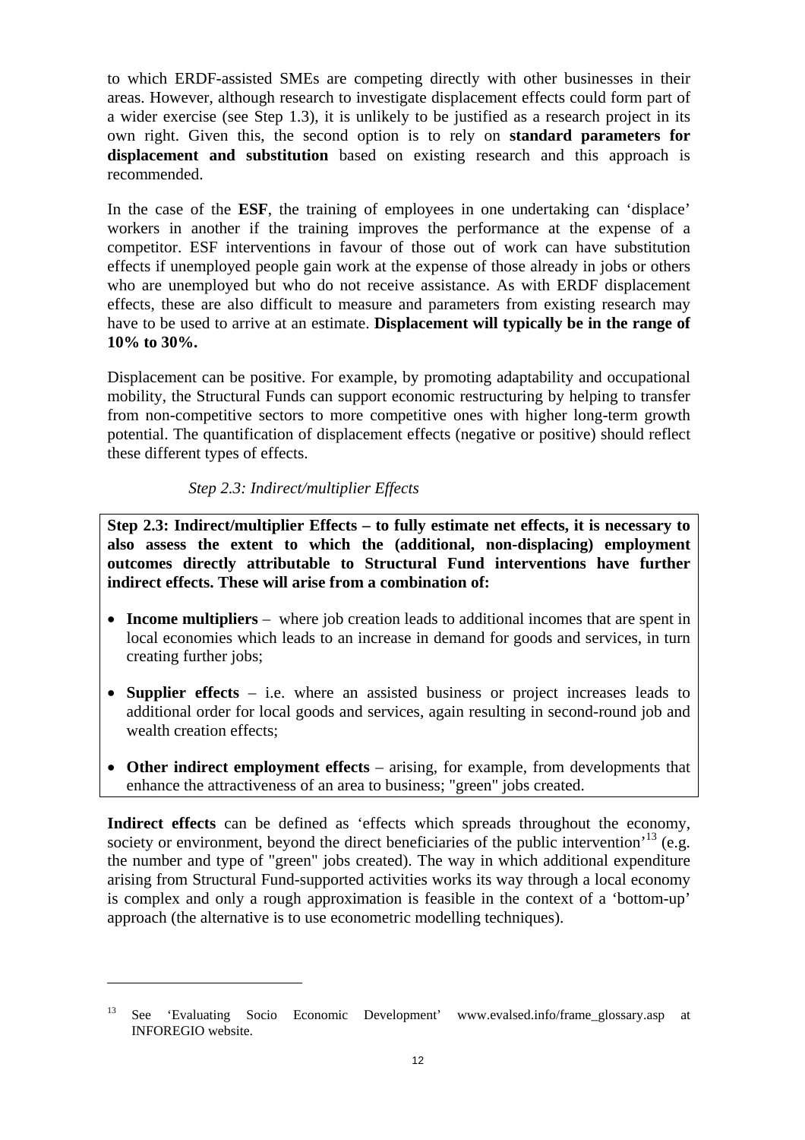to which ERDF-assisted SMEs are competing directly with other businesses in their areas. However, although research to investigate displacement effects could form part of a wider exercise (see Step 1.3), it is unlikely to be justified as a research project in its own right. Given this, the second option is to rely on **standard parameters for displacement and substitution** based on existing research and this approach is recommended.

In the case of the **ESF**, the training of employees in one undertaking can 'displace' workers in another if the training improves the performance at the expense of a competitor. ESF interventions in favour of those out of work can have substitution effects if unemployed people gain work at the expense of those already in jobs or others who are unemployed but who do not receive assistance. As with ERDF displacement effects, these are also difficult to measure and parameters from existing research may have to be used to arrive at an estimate. **Displacement will typically be in the range of 10% to 30%.**

Displacement can be positive. For example, by promoting adaptability and occupational mobility, the Structural Funds can support economic restructuring by helping to transfer from non-competitive sectors to more competitive ones with higher long-term growth potential. The quantification of displacement effects (negative or positive) should reflect these different types of effects.

### *Step 2.3: Indirect/multiplier Effects*

 $\overline{a}$ 

<span id="page-11-0"></span>**Step 2.3: Indirect/multiplier Effects – to fully estimate net effects, it is necessary to also assess the extent to which the (additional, non-displacing) employment outcomes directly attributable to Structural Fund interventions have further indirect effects. These will arise from a combination of:** 

- **Income multipliers** where job creation leads to additional incomes that are spent in local economies which leads to an increase in demand for goods and services, in turn creating further jobs;
- **Supplier effects**  i.e. where an assisted business or project increases leads to additional order for local goods and services, again resulting in second-round job and wealth creation effects;
- **Other indirect employment effects** arising, for example, from developments that enhance the attractiveness of an area to business; "green" jobs created.

Indirect effects can be defined as 'effects which spreads throughout the economy, society or environment, beyond the direct beneficiaries of the public intervention<sup> $13$ </sup> (e.g. the number and type of "green" jobs created). The way in which additional expenditure arising from Structural Fund-supported activities works its way through a local economy is complex and only a rough approximation is feasible in the context of a 'bottom-up' approach (the alternative is to use econometric modelling techniques).

<sup>13</sup> See 'Evaluating Socio Economic Development' www.evalsed.info/frame\_glossary.asp at INFOREGIO website.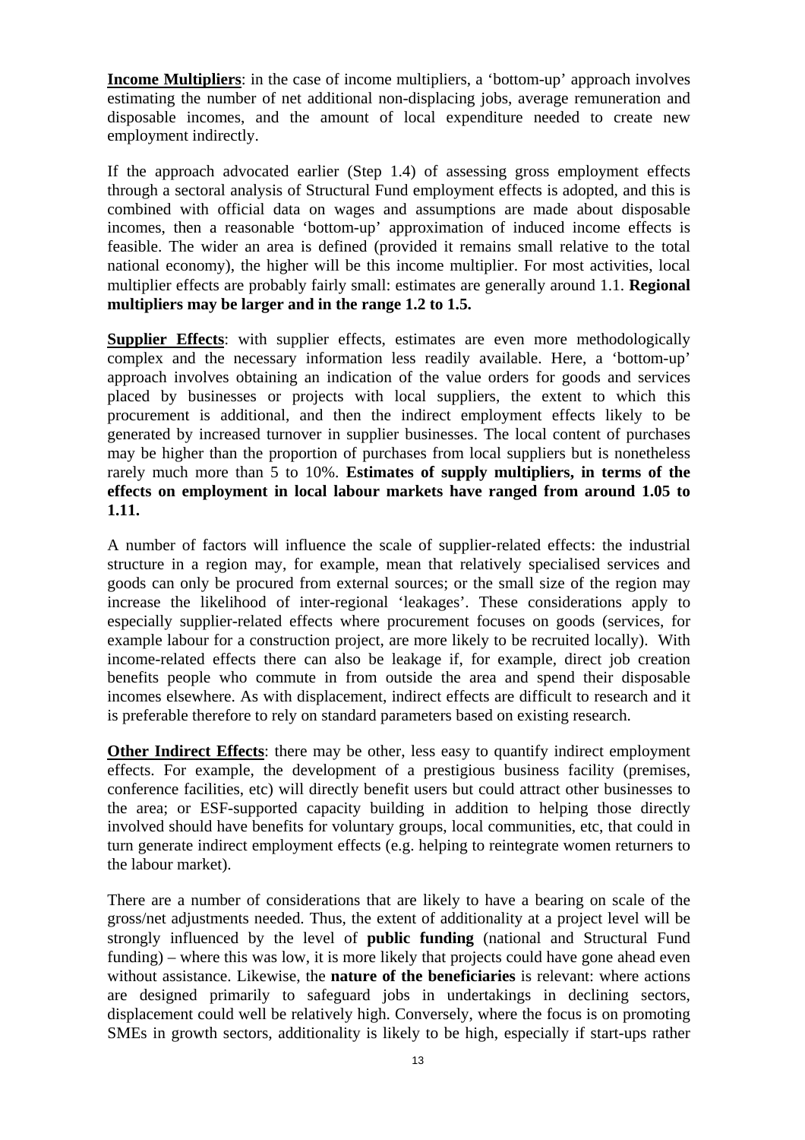**Income Multipliers**: in the case of income multipliers, a 'bottom-up' approach involves estimating the number of net additional non-displacing jobs, average remuneration and disposable incomes, and the amount of local expenditure needed to create new employment indirectly.

If the approach advocated earlier (Step 1.4) of assessing gross employment effects through a sectoral analysis of Structural Fund employment effects is adopted, and this is combined with official data on wages and assumptions are made about disposable incomes, then a reasonable 'bottom-up' approximation of induced income effects is feasible. The wider an area is defined (provided it remains small relative to the total national economy), the higher will be this income multiplier. For most activities, local multiplier effects are probably fairly small: estimates are generally around 1.1. **Regional multipliers may be larger and in the range 1.2 to 1.5.**

**Supplier Effects**: with supplier effects, estimates are even more methodologically complex and the necessary information less readily available. Here, a 'bottom-up' approach involves obtaining an indication of the value orders for goods and services placed by businesses or projects with local suppliers, the extent to which this procurement is additional, and then the indirect employment effects likely to be generated by increased turnover in supplier businesses. The local content of purchases may be higher than the proportion of purchases from local suppliers but is nonetheless rarely much more than 5 to 10%. **Estimates of supply multipliers, in terms of the effects on employment in local labour markets have ranged from around 1.05 to 1.11.**

A number of factors will influence the scale of supplier-related effects: the industrial structure in a region may, for example, mean that relatively specialised services and goods can only be procured from external sources; or the small size of the region may increase the likelihood of inter-regional 'leakages'. These considerations apply to especially supplier-related effects where procurement focuses on goods (services, for example labour for a construction project, are more likely to be recruited locally). With income-related effects there can also be leakage if, for example, direct job creation benefits people who commute in from outside the area and spend their disposable incomes elsewhere. As with displacement, indirect effects are difficult to research and it is preferable therefore to rely on standard parameters based on existing research.

**Other Indirect Effects**: there may be other, less easy to quantify indirect employment effects. For example, the development of a prestigious business facility (premises, conference facilities, etc) will directly benefit users but could attract other businesses to the area; or ESF-supported capacity building in addition to helping those directly involved should have benefits for voluntary groups, local communities, etc, that could in turn generate indirect employment effects (e.g. helping to reintegrate women returners to the labour market).

There are a number of considerations that are likely to have a bearing on scale of the gross/net adjustments needed. Thus, the extent of additionality at a project level will be strongly influenced by the level of **public funding** (national and Structural Fund funding) – where this was low, it is more likely that projects could have gone ahead even without assistance. Likewise, the **nature of the beneficiaries** is relevant: where actions are designed primarily to safeguard jobs in undertakings in declining sectors, displacement could well be relatively high. Conversely, where the focus is on promoting SMEs in growth sectors, additionality is likely to be high, especially if start-ups rather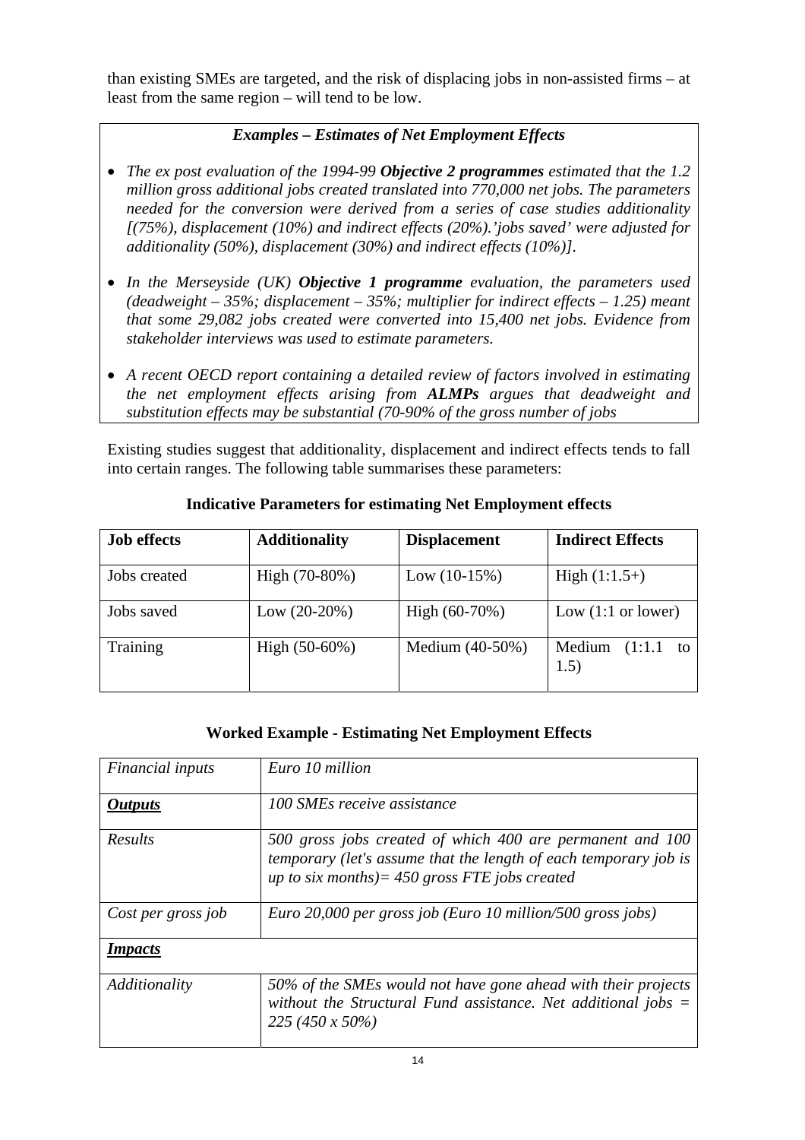than existing SMEs are targeted, and the risk of displacing jobs in non-assisted firms – at least from the same region – will tend to be low.

# *Examples – Estimates of Net Employment Effects*

- *The ex post evaluation of the 1994-99 Objective 2 programmes estimated that the 1.2 million gross additional jobs created translated into 770,000 net jobs. The parameters needed for the conversion were derived from a series of case studies additionality [(75%), displacement (10%) and indirect effects (20%).'jobs saved' were adjusted for additionality (50%), displacement (30%) and indirect effects (10%)].*
- *In the Merseyside (UK) Objective 1 programme evaluation, the parameters used (deadweight – 35%; displacement – 35%; multiplier for indirect effects – 1.25) meant that some 29,082 jobs created were converted into 15,400 net jobs. Evidence from stakeholder interviews was used to estimate parameters.*
- *A recent OECD report containing a detailed review of factors involved in estimating the net employment effects arising from ALMPs argues that deadweight and substitution effects may be substantial (70-90% of the gross number of jobs*

Existing studies suggest that additionality, displacement and indirect effects tends to fall into certain ranges. The following table summarises these parameters:

| <b>Job effects</b> | <b>Additionality</b> | <b>Displacement</b> | <b>Indirect Effects</b>        |
|--------------------|----------------------|---------------------|--------------------------------|
| Jobs created       | High $(70-80%)$      | Low $(10-15%)$      | $High (1:1.5+)$                |
| Jobs saved         | Low $(20-20%)$       | High $(60-70%)$     | Low $(1:1 \text{ or lower})$   |
| Training           | High $(50-60%)$      | Medium (40-50%)     | Medium<br>$(1:1.1)$ to<br>1.5) |

## **Indicative Parameters for estimating Net Employment effects**

## **Worked Example - Estimating Net Employment Effects**

| <i>Financial inputs</i> | Euro 10 million                                                                                                                                                                   |  |  |
|-------------------------|-----------------------------------------------------------------------------------------------------------------------------------------------------------------------------------|--|--|
| <i><b>Outputs</b></i>   | 100 SMEs receive assistance                                                                                                                                                       |  |  |
| Results                 | 500 gross jobs created of which 400 are permanent and 100<br>temporary (let's assume that the length of each temporary job is<br>up to six months) = $450$ gross FTE jobs created |  |  |
| Cost per gross job      | Euro 20,000 per gross job (Euro 10 million/500 gross jobs)                                                                                                                        |  |  |
| <b>Impacts</b>          |                                                                                                                                                                                   |  |  |
| Additionality           | 50% of the SMEs would not have gone ahead with their projects<br>without the Structural Fund assistance. Net additional jobs $=$<br>$225(450 \times 50\%)$                        |  |  |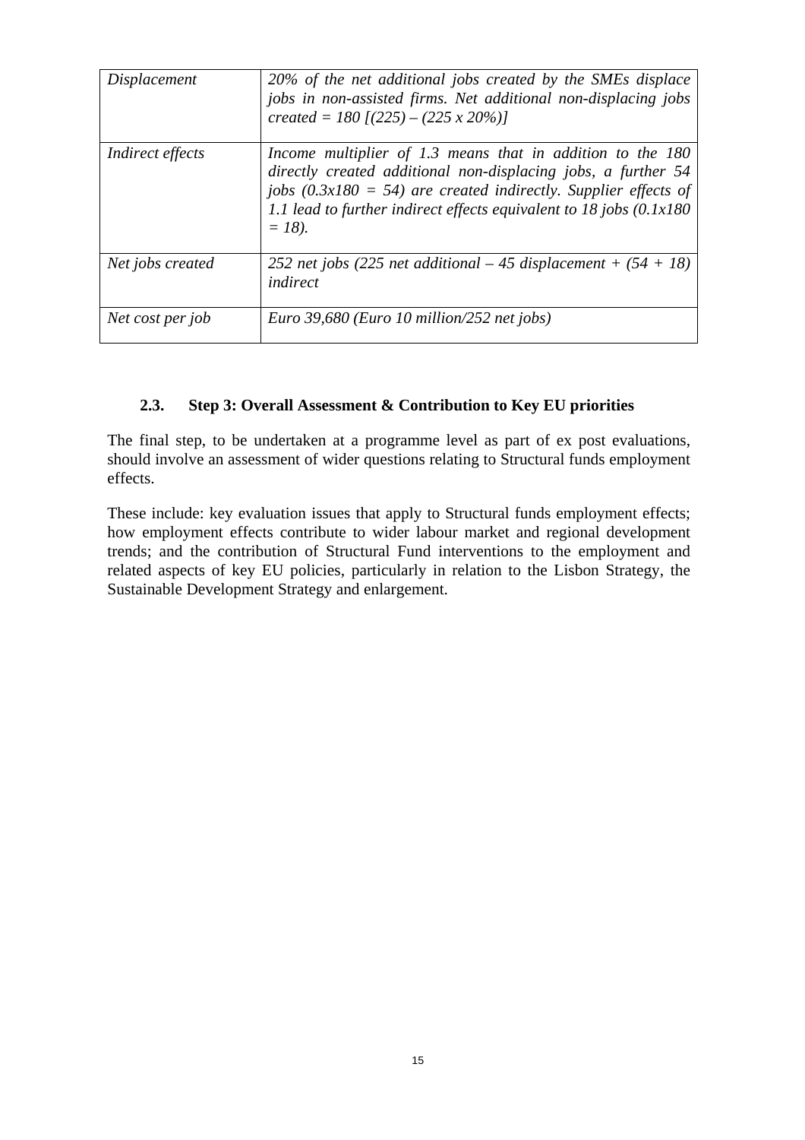| Displacement            | 20% of the net additional jobs created by the SMEs displace<br>jobs in non-assisted firms. Net additional non-displacing jobs<br>created = 180 $[(225) - (225 \times 20\%)]$                                                                                                          |
|-------------------------|---------------------------------------------------------------------------------------------------------------------------------------------------------------------------------------------------------------------------------------------------------------------------------------|
| <i>Indirect effects</i> | Income multiplier of 1.3 means that in addition to the 180<br>directly created additional non-displacing jobs, a further 54<br>jobs $(0.3x180 = 54)$ are created indirectly. Supplier effects of<br>1.1 lead to further indirect effects equivalent to 18 jobs $(0.1x180)$<br>$= 18.$ |
| Net jobs created        | 252 net jobs (225 net additional – 45 displacement + $(54 + 18)$ )<br>indirect                                                                                                                                                                                                        |
| Net cost per job        | Euro 39,680 (Euro 10 million/252 net jobs)                                                                                                                                                                                                                                            |

### **2.3. Step 3: Overall Assessment & Contribution to Key EU priorities**

<span id="page-14-0"></span>The final step, to be undertaken at a programme level as part of ex post evaluations, should involve an assessment of wider questions relating to Structural funds employment effects.

These include: key evaluation issues that apply to Structural funds employment effects; how employment effects contribute to wider labour market and regional development trends; and the contribution of Structural Fund interventions to the employment and related aspects of key EU policies, particularly in relation to the Lisbon Strategy, the Sustainable Development Strategy and enlargement.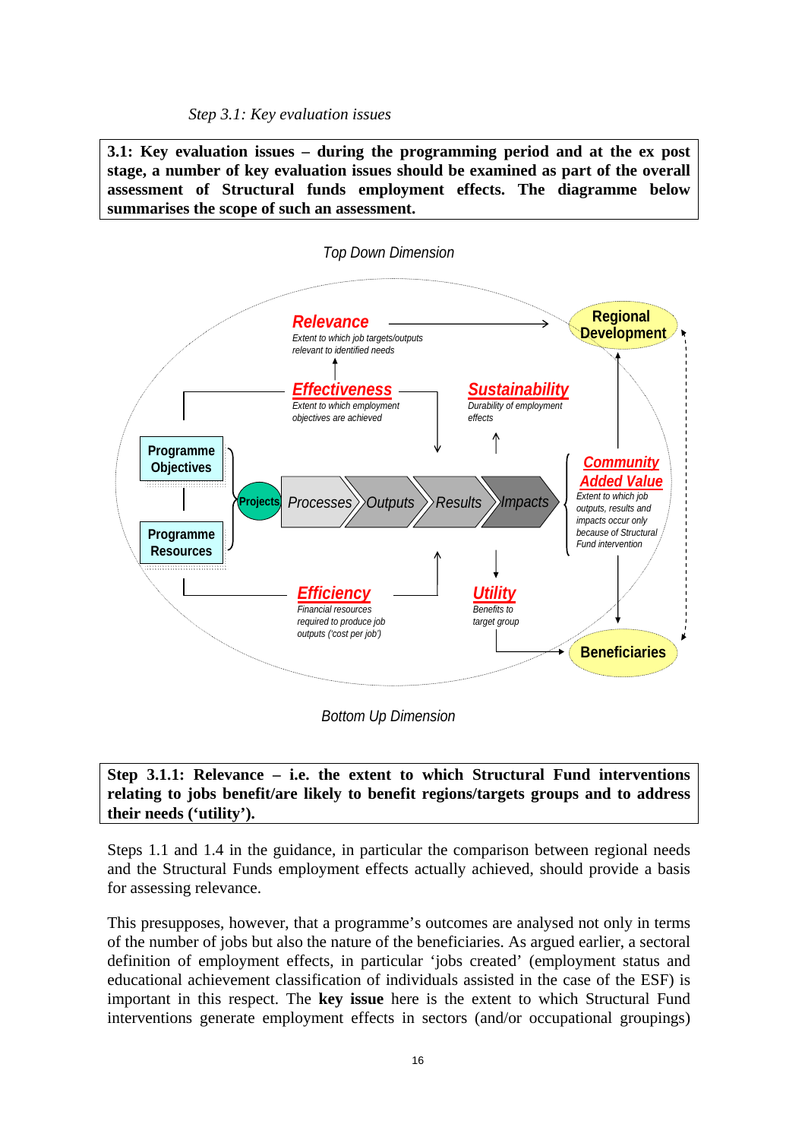*Step 3.1: Key evaluation issues* 

<span id="page-15-0"></span>**3.1: Key evaluation issues – during the programming period and at the ex post stage, a number of key evaluation issues should be examined as part of the overall assessment of Structural funds employment effects. The diagramme below summarises the scope of such an assessment.** 



*Bottom Up Dimension*

## **Step 3.1.1: Relevance – i.e. the extent to which Structural Fund interventions relating to jobs benefit/are likely to benefit regions/targets groups and to address their needs ('utility').**

Steps 1.1 and 1.4 in the guidance, in particular the comparison between regional needs and the Structural Funds employment effects actually achieved, should provide a basis for assessing relevance.

This presupposes, however, that a programme's outcomes are analysed not only in terms of the number of jobs but also the nature of the beneficiaries. As argued earlier, a sectoral definition of employment effects, in particular 'jobs created' (employment status and educational achievement classification of individuals assisted in the case of the ESF) is important in this respect. The **key issue** here is the extent to which Structural Fund interventions generate employment effects in sectors (and/or occupational groupings)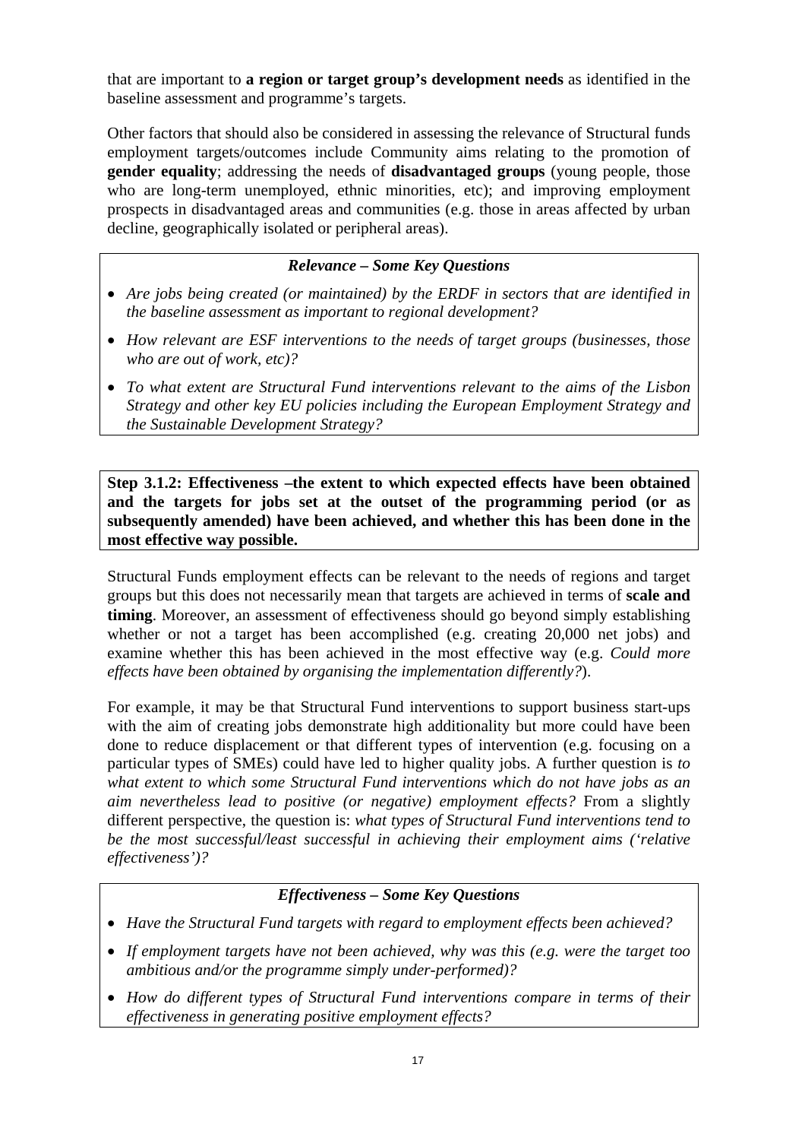that are important to **a region or target group's development needs** as identified in the baseline assessment and programme's targets.

Other factors that should also be considered in assessing the relevance of Structural funds employment targets/outcomes include Community aims relating to the promotion of **gender equality**; addressing the needs of **disadvantaged groups** (young people, those who are long-term unemployed, ethnic minorities, etc); and improving employment prospects in disadvantaged areas and communities (e.g. those in areas affected by urban decline, geographically isolated or peripheral areas).

# *Relevance – Some Key Questions*

- *Are jobs being created (or maintained) by the ERDF in sectors that are identified in the baseline assessment as important to regional development?*
- *How relevant are ESF interventions to the needs of target groups (businesses, those who are out of work, etc)?*
- *To what extent are Structural Fund interventions relevant to the aims of the Lisbon Strategy and other key EU policies including the European Employment Strategy and the Sustainable Development Strategy?*

**Step 3.1.2: Effectiveness –the extent to which expected effects have been obtained and the targets for jobs set at the outset of the programming period (or as subsequently amended) have been achieved, and whether this has been done in the most effective way possible.** 

Structural Funds employment effects can be relevant to the needs of regions and target groups but this does not necessarily mean that targets are achieved in terms of **scale and timing**. Moreover, an assessment of effectiveness should go beyond simply establishing whether or not a target has been accomplished (e.g. creating 20,000 net jobs) and examine whether this has been achieved in the most effective way (e.g. *Could more effects have been obtained by organising the implementation differently?*).

For example, it may be that Structural Fund interventions to support business start-ups with the aim of creating jobs demonstrate high additionality but more could have been done to reduce displacement or that different types of intervention (e.g. focusing on a particular types of SMEs) could have led to higher quality jobs. A further question is *to what extent to which some Structural Fund interventions which do not have jobs as an aim nevertheless lead to positive (or negative) employment effects?* From a slightly different perspective, the question is: *what types of Structural Fund interventions tend to be the most successful/least successful in achieving their employment aims ('relative effectiveness')?* 

## *Effectiveness – Some Key Questions*

- *Have the Structural Fund targets with regard to employment effects been achieved?*
- *If employment targets have not been achieved, why was this (e.g. were the target too ambitious and/or the programme simply under-performed)?*
- *How do different types of Structural Fund interventions compare in terms of their effectiveness in generating positive employment effects?*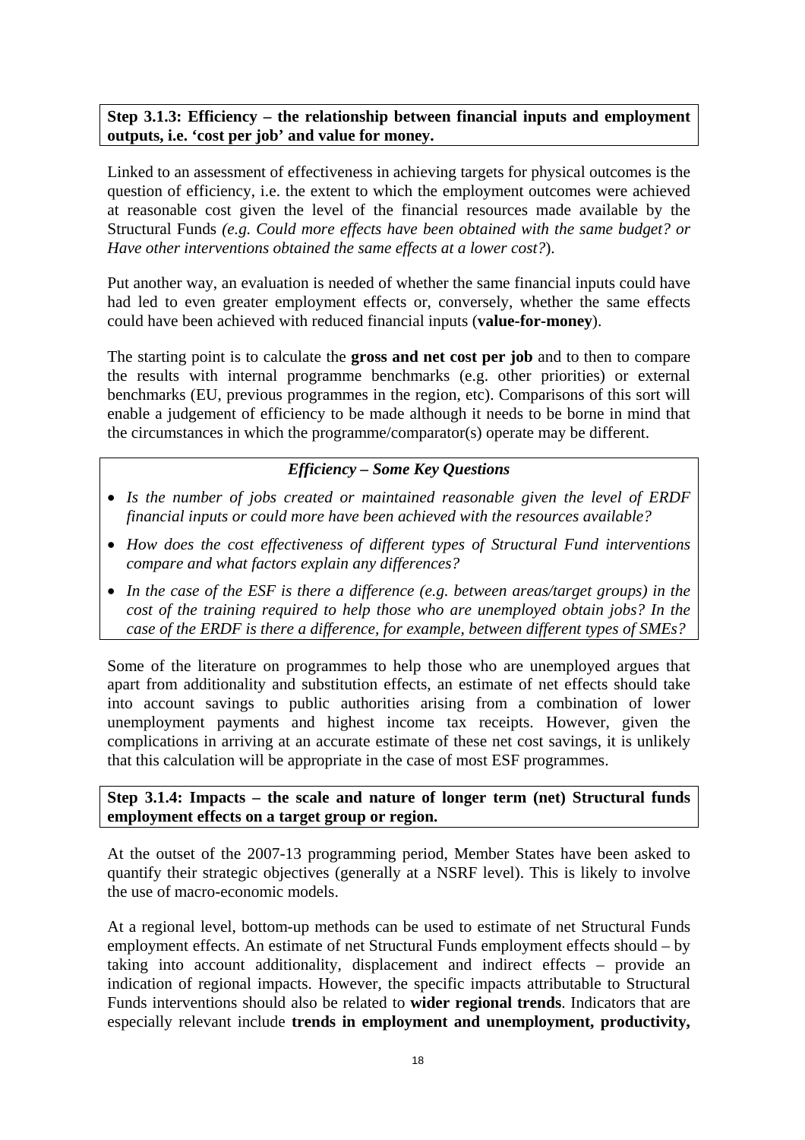**Step 3.1.3: Efficiency – the relationship between financial inputs and employment outputs, i.e. 'cost per job' and value for money.** 

Linked to an assessment of effectiveness in achieving targets for physical outcomes is the question of efficiency, i.e. the extent to which the employment outcomes were achieved at reasonable cost given the level of the financial resources made available by the Structural Funds *(e.g. Could more effects have been obtained with the same budget? or Have other interventions obtained the same effects at a lower cost?*).

Put another way, an evaluation is needed of whether the same financial inputs could have had led to even greater employment effects or, conversely, whether the same effects could have been achieved with reduced financial inputs (**value-for-money**).

The starting point is to calculate the **gross and net cost per job** and to then to compare the results with internal programme benchmarks (e.g. other priorities) or external benchmarks (EU, previous programmes in the region, etc). Comparisons of this sort will enable a judgement of efficiency to be made although it needs to be borne in mind that the circumstances in which the programme/comparator(s) operate may be different.

### *Efficiency – Some Key Questions*

- *Is the number of jobs created or maintained reasonable given the level of ERDF financial inputs or could more have been achieved with the resources available?*
- *How does the cost effectiveness of different types of Structural Fund interventions compare and what factors explain any differences?*
- *In the case of the ESF is there a difference (e.g. between areas/target groups) in the cost of the training required to help those who are unemployed obtain jobs? In the case of the ERDF is there a difference, for example, between different types of SMEs?*

Some of the literature on programmes to help those who are unemployed argues that apart from additionality and substitution effects, an estimate of net effects should take into account savings to public authorities arising from a combination of lower unemployment payments and highest income tax receipts. However, given the complications in arriving at an accurate estimate of these net cost savings, it is unlikely that this calculation will be appropriate in the case of most ESF programmes.

## **Step 3.1.4: Impacts – the scale and nature of longer term (net) Structural funds employment effects on a target group or region.**

At the outset of the 2007-13 programming period, Member States have been asked to quantify their strategic objectives (generally at a NSRF level). This is likely to involve the use of macro-economic models.

At a regional level, bottom-up methods can be used to estimate of net Structural Funds employment effects. An estimate of net Structural Funds employment effects should – by taking into account additionality, displacement and indirect effects – provide an indication of regional impacts. However, the specific impacts attributable to Structural Funds interventions should also be related to **wider regional trends**. Indicators that are especially relevant include **trends in employment and unemployment, productivity,**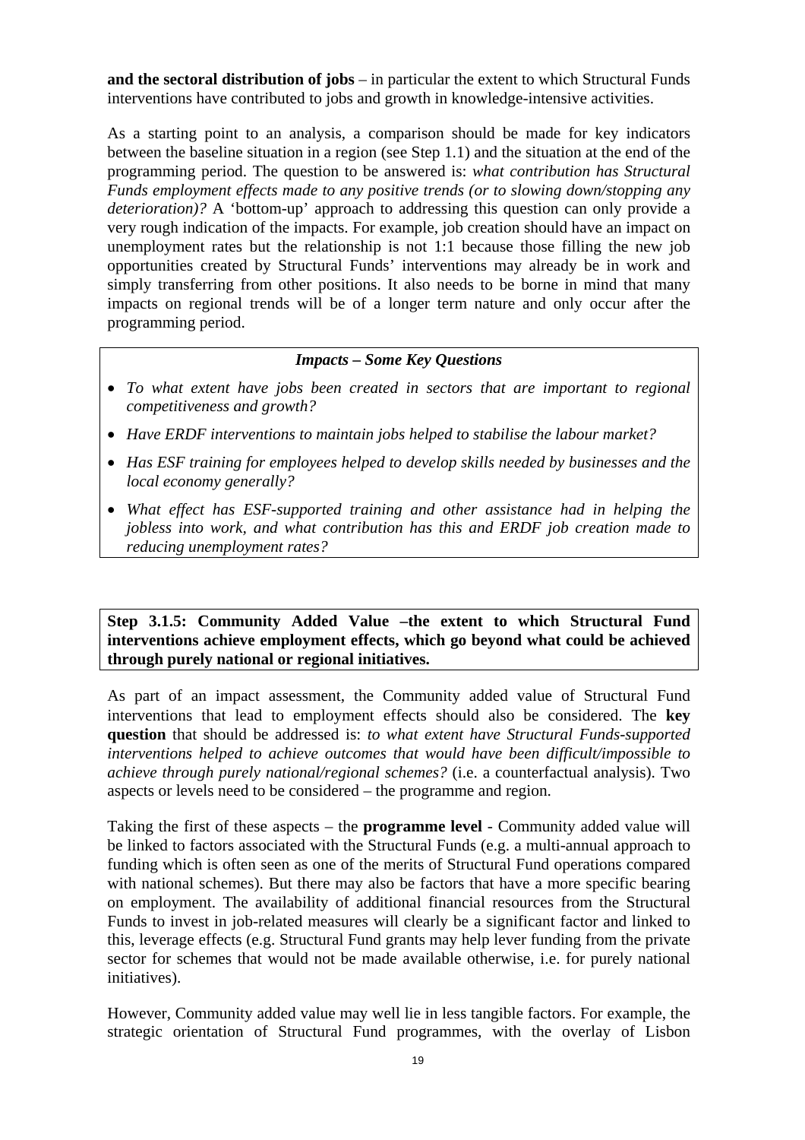**and the sectoral distribution of jobs** – in particular the extent to which Structural Funds interventions have contributed to jobs and growth in knowledge-intensive activities.

As a starting point to an analysis, a comparison should be made for key indicators between the baseline situation in a region (see Step 1.1) and the situation at the end of the programming period. The question to be answered is: *what contribution has Structural Funds employment effects made to any positive trends (or to slowing down/stopping any deterioration)?* A 'bottom-up' approach to addressing this question can only provide a very rough indication of the impacts. For example, job creation should have an impact on unemployment rates but the relationship is not 1:1 because those filling the new job opportunities created by Structural Funds' interventions may already be in work and simply transferring from other positions. It also needs to be borne in mind that many impacts on regional trends will be of a longer term nature and only occur after the programming period.

### *Impacts – Some Key Questions*

- *To what extent have jobs been created in sectors that are important to regional competitiveness and growth?*
- *Have ERDF interventions to maintain jobs helped to stabilise the labour market?*
- *Has ESF training for employees helped to develop skills needed by businesses and the local economy generally?*
- *What effect has ESF-supported training and other assistance had in helping the jobless into work, and what contribution has this and ERDF job creation made to reducing unemployment rates?*

**Step 3.1.5: Community Added Value –the extent to which Structural Fund interventions achieve employment effects, which go beyond what could be achieved through purely national or regional initiatives.** 

As part of an impact assessment, the Community added value of Structural Fund interventions that lead to employment effects should also be considered. The **key question** that should be addressed is: *to what extent have Structural Funds-supported interventions helped to achieve outcomes that would have been difficult/impossible to achieve through purely national/regional schemes?* (i.e. a counterfactual analysis). Two aspects or levels need to be considered – the programme and region.

Taking the first of these aspects – the **programme level** - Community added value will be linked to factors associated with the Structural Funds (e.g. a multi-annual approach to funding which is often seen as one of the merits of Structural Fund operations compared with national schemes). But there may also be factors that have a more specific bearing on employment. The availability of additional financial resources from the Structural Funds to invest in job-related measures will clearly be a significant factor and linked to this, leverage effects (e.g. Structural Fund grants may help lever funding from the private sector for schemes that would not be made available otherwise, i.e. for purely national initiatives).

However, Community added value may well lie in less tangible factors. For example, the strategic orientation of Structural Fund programmes, with the overlay of Lisbon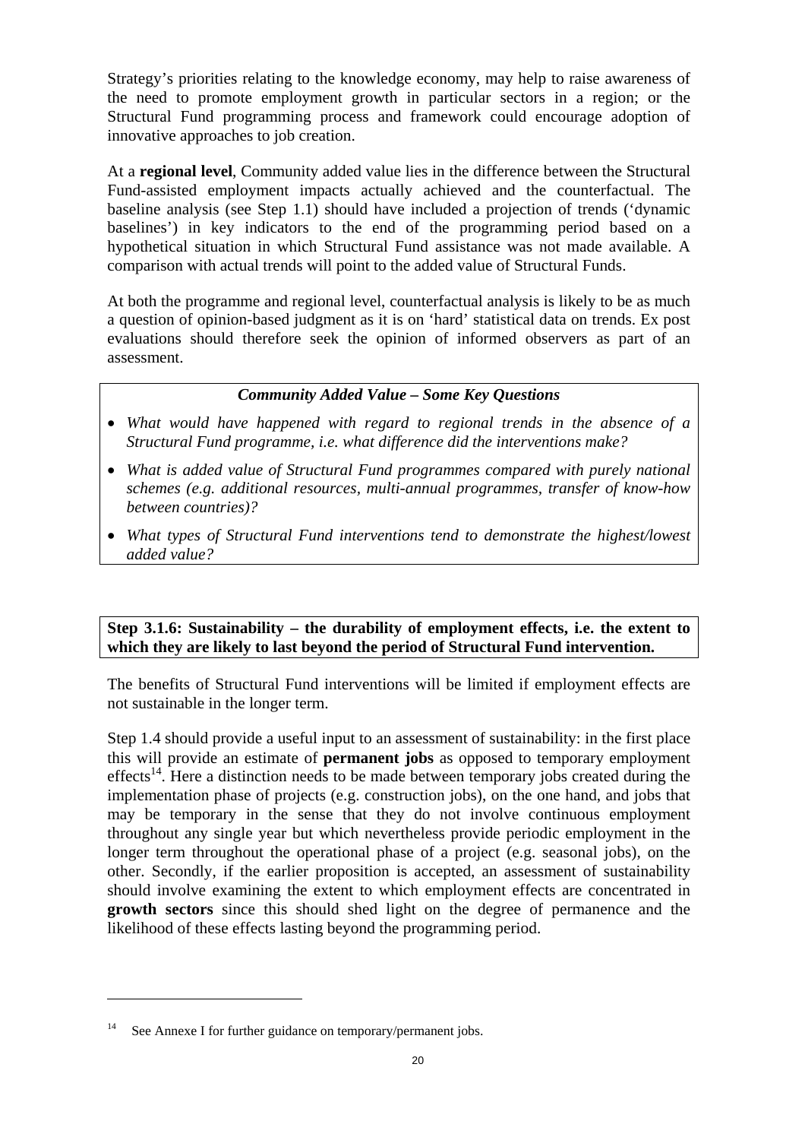Strategy's priorities relating to the knowledge economy, may help to raise awareness of the need to promote employment growth in particular sectors in a region; or the Structural Fund programming process and framework could encourage adoption of innovative approaches to job creation.

At a **regional level**, Community added value lies in the difference between the Structural Fund-assisted employment impacts actually achieved and the counterfactual. The baseline analysis (see Step 1.1) should have included a projection of trends ('dynamic baselines') in key indicators to the end of the programming period based on a hypothetical situation in which Structural Fund assistance was not made available. A comparison with actual trends will point to the added value of Structural Funds.

At both the programme and regional level, counterfactual analysis is likely to be as much a question of opinion-based judgment as it is on 'hard' statistical data on trends. Ex post evaluations should therefore seek the opinion of informed observers as part of an assessment.

### *Community Added Value – Some Key Questions*

- *What would have happened with regard to regional trends in the absence of a Structural Fund programme, i.e. what difference did the interventions make?*
- *What is added value of Structural Fund programmes compared with purely national schemes (e.g. additional resources, multi-annual programmes, transfer of know-how between countries)?*
- *What types of Structural Fund interventions tend to demonstrate the highest/lowest added value?*

### **Step 3.1.6: Sustainability – the durability of employment effects, i.e. the extent to which they are likely to last beyond the period of Structural Fund intervention.**

The benefits of Structural Fund interventions will be limited if employment effects are not sustainable in the longer term.

Step 1.4 should provide a useful input to an assessment of sustainability: in the first place this will provide an estimate of **permanent jobs** as opposed to temporary employment effects<sup>14</sup>. Here a distinction needs to be made between temporary jobs created during the implementation phase of projects (e.g. construction jobs), on the one hand, and jobs that may be temporary in the sense that they do not involve continuous employment throughout any single year but which nevertheless provide periodic employment in the longer term throughout the operational phase of a project (e.g. seasonal jobs), on the other. Secondly, if the earlier proposition is accepted, an assessment of sustainability should involve examining the extent to which employment effects are concentrated in **growth sectors** since this should shed light on the degree of permanence and the likelihood of these effects lasting beyond the programming period.

 $\overline{a}$ 

<sup>&</sup>lt;sup>14</sup> See Annexe I for further guidance on temporary/permanent jobs.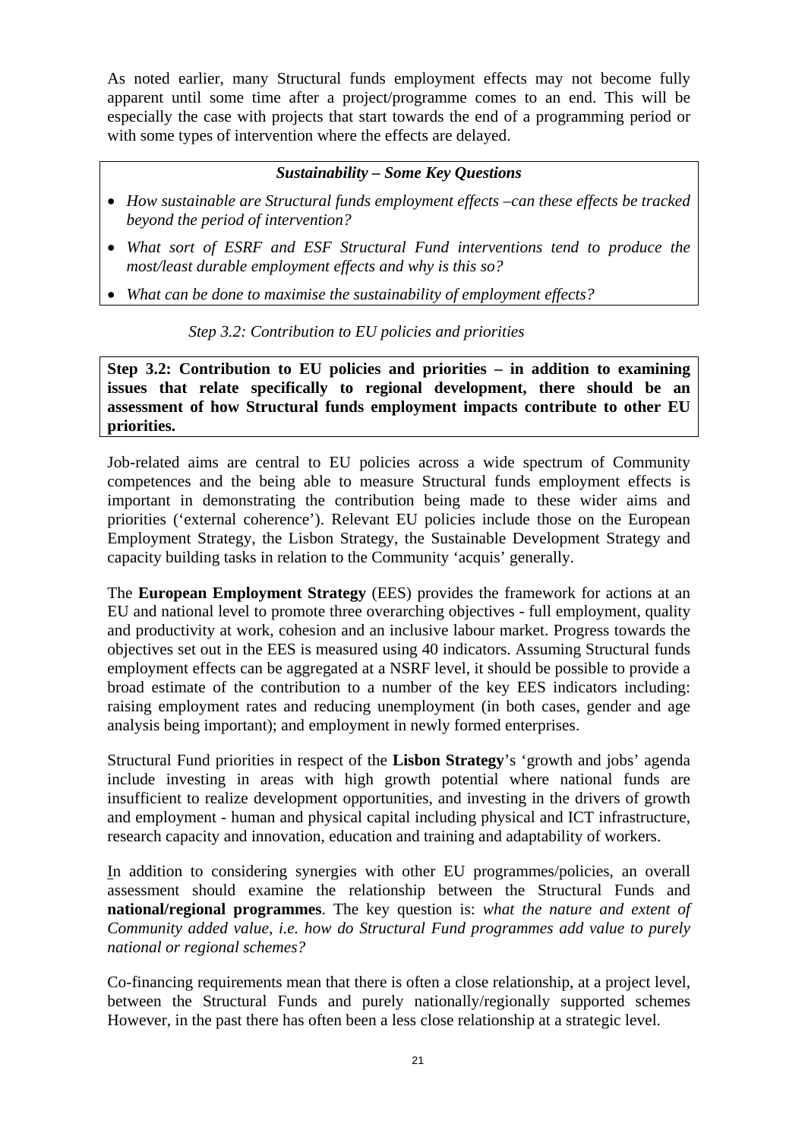As noted earlier, many Structural funds employment effects may not become fully apparent until some time after a project/programme comes to an end. This will be especially the case with projects that start towards the end of a programming period or with some types of intervention where the effects are delayed.

## *Sustainability – Some Key Questions*

- *How sustainable are Structural funds employment effects –can these effects be tracked beyond the period of intervention?*
- *What sort of ESRF and ESF Structural Fund interventions tend to produce the most/least durable employment effects and why is this so?*
- <span id="page-20-0"></span>• *What can be done to maximise the sustainability of employment effects?*

*Step 3.2: Contribution to EU policies and priorities* 

**Step 3.2: Contribution to EU policies and priorities – in addition to examining issues that relate specifically to regional development, there should be an assessment of how Structural funds employment impacts contribute to other EU priorities.** 

Job-related aims are central to EU policies across a wide spectrum of Community competences and the being able to measure Structural funds employment effects is important in demonstrating the contribution being made to these wider aims and priorities ('external coherence'). Relevant EU policies include those on the European Employment Strategy, the Lisbon Strategy, the Sustainable Development Strategy and capacity building tasks in relation to the Community 'acquis' generally.

The **European Employment Strategy** (EES) provides the framework for actions at an EU and national level to promote three overarching objectives - full employment, quality and productivity at work, cohesion and an inclusive labour market. Progress towards the objectives set out in the EES is measured using 40 indicators. Assuming Structural funds employment effects can be aggregated at a NSRF level, it should be possible to provide a broad estimate of the contribution to a number of the key EES indicators including: raising employment rates and reducing unemployment (in both cases, gender and age analysis being important); and employment in newly formed enterprises.

Structural Fund priorities in respect of the **Lisbon Strategy**'s 'growth and jobs' agenda include investing in areas with high growth potential where national funds are insufficient to realize development opportunities, and investing in the drivers of growth and employment - human and physical capital including physical and ICT infrastructure, research capacity and innovation, education and training and adaptability of workers.

In addition to considering synergies with other EU programmes/policies, an overall assessment should examine the relationship between the Structural Funds and **national/regional programmes**. The key question is: *what the nature and extent of Community added value, i.e. how do Structural Fund programmes add value to purely national or regional schemes?*

Co-financing requirements mean that there is often a close relationship, at a project level, between the Structural Funds and purely nationally/regionally supported schemes However, in the past there has often been a less close relationship at a strategic level.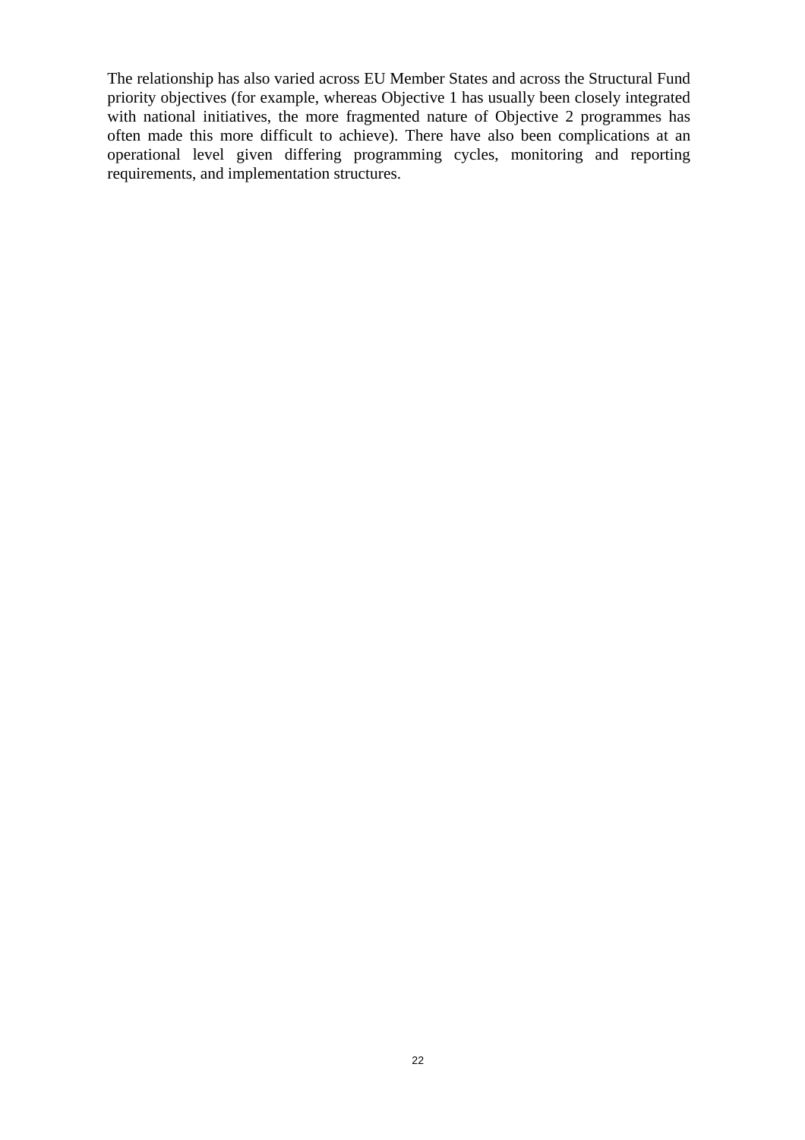The relationship has also varied across EU Member States and across the Structural Fund priority objectives (for example, whereas Objective 1 has usually been closely integrated with national initiatives, the more fragmented nature of Objective 2 programmes has often made this more difficult to achieve). There have also been complications at an operational level given differing programming cycles, monitoring and reporting requirements, and implementation structures.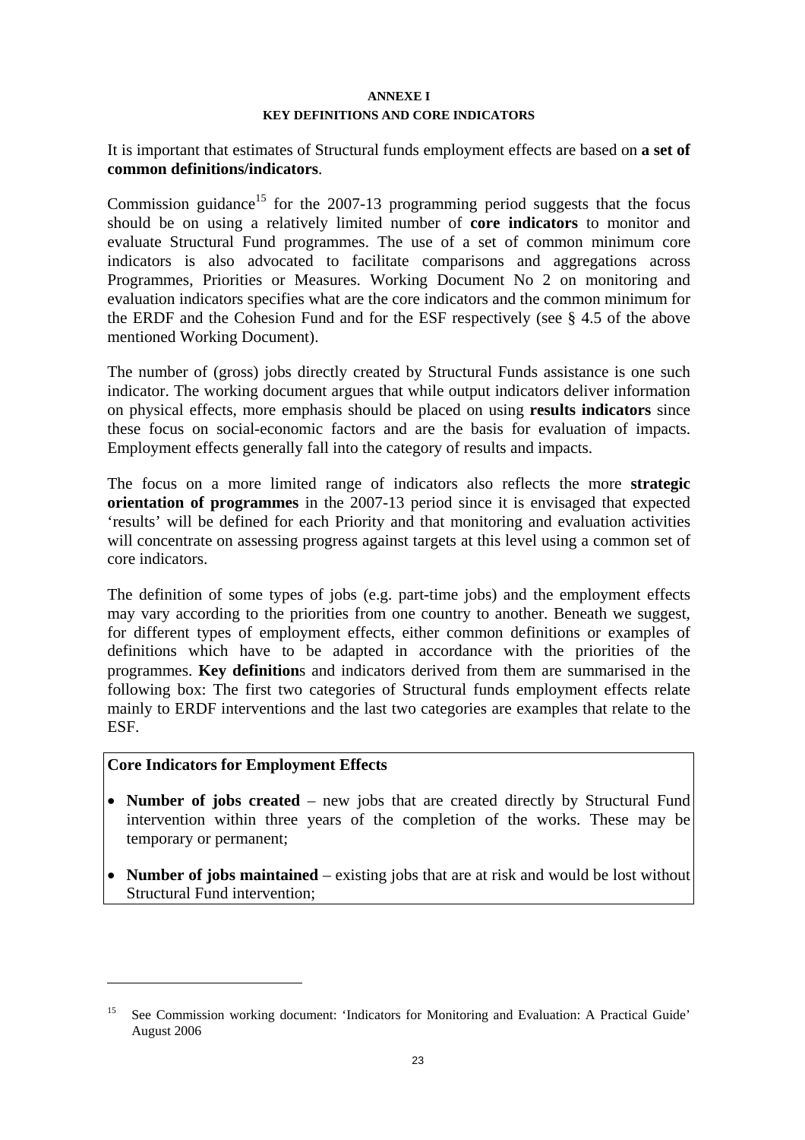#### **ANNEXE I**

#### **KEY DEFINITIONS AND CORE INDICATORS**

<span id="page-22-0"></span>It is important that estimates of Structural funds employment effects are based on **a set of common definitions/indicators**.

Commission guidance<sup>15</sup> for the 2007-13 programming period suggests that the focus should be on using a relatively limited number of **core indicators** to monitor and evaluate Structural Fund programmes. The use of a set of common minimum core indicators is also advocated to facilitate comparisons and aggregations across Programmes, Priorities or Measures. Working Document No 2 on monitoring and evaluation indicators specifies what are the core indicators and the common minimum for the ERDF and the Cohesion Fund and for the ESF respectively (see § 4.5 of the above mentioned Working Document).

The number of (gross) jobs directly created by Structural Funds assistance is one such indicator. The working document argues that while output indicators deliver information on physical effects, more emphasis should be placed on using **results indicators** since these focus on social-economic factors and are the basis for evaluation of impacts. Employment effects generally fall into the category of results and impacts.

The focus on a more limited range of indicators also reflects the more **strategic orientation of programmes** in the 2007-13 period since it is envisaged that expected 'results' will be defined for each Priority and that monitoring and evaluation activities will concentrate on assessing progress against targets at this level using a common set of core indicators.

The definition of some types of jobs (e.g. part-time jobs) and the employment effects may vary according to the priorities from one country to another. Beneath we suggest, for different types of employment effects, either common definitions or examples of definitions which have to be adapted in accordance with the priorities of the programmes. **Key definition**s and indicators derived from them are summarised in the following box: The first two categories of Structural funds employment effects relate mainly to ERDF interventions and the last two categories are examples that relate to the ESF.

### **Core Indicators for Employment Effects**

 $\overline{a}$ 

- **Number of jobs created** new jobs that are created directly by Structural Fund intervention within three years of the completion of the works. These may be temporary or permanent;
- **Number of jobs maintained** existing jobs that are at risk and would be lost without Structural Fund intervention;

<sup>15</sup> See Commission working document: 'Indicators for Monitoring and Evaluation: A Practical Guide' August 2006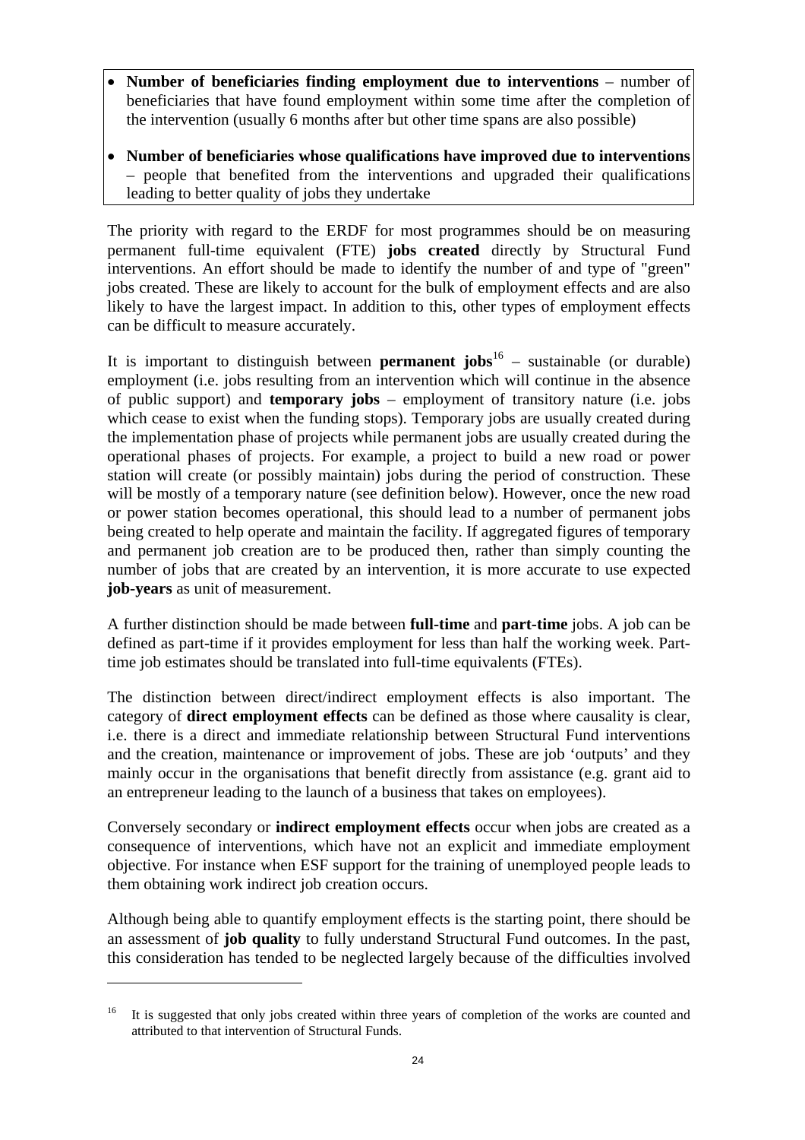- **Number of beneficiaries finding employment due to interventions** number of beneficiaries that have found employment within some time after the completion of the intervention (usually 6 months after but other time spans are also possible)
- **Number of beneficiaries whose qualifications have improved due to interventions** – people that benefited from the interventions and upgraded their qualifications leading to better quality of jobs they undertake

The priority with regard to the ERDF for most programmes should be on measuring permanent full-time equivalent (FTE) **jobs created** directly by Structural Fund interventions. An effort should be made to identify the number of and type of "green" jobs created. These are likely to account for the bulk of employment effects and are also likely to have the largest impact. In addition to this, other types of employment effects can be difficult to measure accurately.

It is important to distinguish between **permanent jobs**<sup>16</sup> – sustainable (or durable) employment (i.e. jobs resulting from an intervention which will continue in the absence of public support) and **temporary jobs** – employment of transitory nature (i.e. jobs which cease to exist when the funding stops). Temporary jobs are usually created during the implementation phase of projects while permanent jobs are usually created during the operational phases of projects. For example, a project to build a new road or power station will create (or possibly maintain) jobs during the period of construction. These will be mostly of a temporary nature (see definition below). However, once the new road or power station becomes operational, this should lead to a number of permanent jobs being created to help operate and maintain the facility. If aggregated figures of temporary and permanent job creation are to be produced then, rather than simply counting the number of jobs that are created by an intervention, it is more accurate to use expected **job-years** as unit of measurement.

A further distinction should be made between **full-time** and **part-time** jobs. A job can be defined as part-time if it provides employment for less than half the working week. Parttime job estimates should be translated into full-time equivalents (FTEs).

The distinction between direct/indirect employment effects is also important. The category of **direct employment effects** can be defined as those where causality is clear, i.e. there is a direct and immediate relationship between Structural Fund interventions and the creation, maintenance or improvement of jobs. These are job 'outputs' and they mainly occur in the organisations that benefit directly from assistance (e.g. grant aid to an entrepreneur leading to the launch of a business that takes on employees).

Conversely secondary or **indirect employment effects** occur when jobs are created as a consequence of interventions, which have not an explicit and immediate employment objective. For instance when ESF support for the training of unemployed people leads to them obtaining work indirect job creation occurs.

Although being able to quantify employment effects is the starting point, there should be an assessment of **job quality** to fully understand Structural Fund outcomes. In the past, this consideration has tended to be neglected largely because of the difficulties involved

 $\overline{a}$ 

<sup>16</sup> It is suggested that only jobs created within three years of completion of the works are counted and attributed to that intervention of Structural Funds.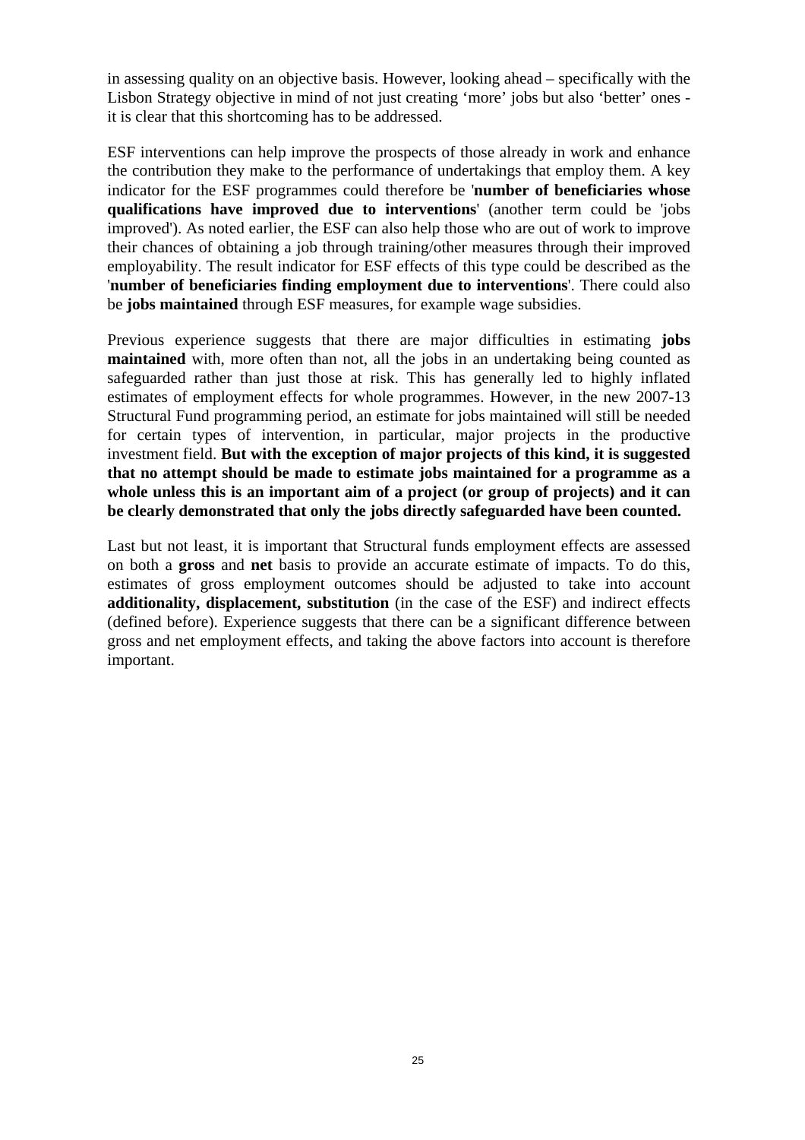in assessing quality on an objective basis. However, looking ahead – specifically with the Lisbon Strategy objective in mind of not just creating 'more' jobs but also 'better' ones it is clear that this shortcoming has to be addressed.

ESF interventions can help improve the prospects of those already in work and enhance the contribution they make to the performance of undertakings that employ them. A key indicator for the ESF programmes could therefore be '**number of beneficiaries whose qualifications have improved due to interventions**' (another term could be 'jobs improved'). As noted earlier, the ESF can also help those who are out of work to improve their chances of obtaining a job through training/other measures through their improved employability. The result indicator for ESF effects of this type could be described as the '**number of beneficiaries finding employment due to interventions**'. There could also be **jobs maintained** through ESF measures, for example wage subsidies.

Previous experience suggests that there are major difficulties in estimating **jobs maintained** with, more often than not, all the jobs in an undertaking being counted as safeguarded rather than just those at risk. This has generally led to highly inflated estimates of employment effects for whole programmes. However, in the new 2007-13 Structural Fund programming period, an estimate for jobs maintained will still be needed for certain types of intervention, in particular, major projects in the productive investment field. **But with the exception of major projects of this kind, it is suggested that no attempt should be made to estimate jobs maintained for a programme as a whole unless this is an important aim of a project (or group of projects) and it can be clearly demonstrated that only the jobs directly safeguarded have been counted.**

Last but not least, it is important that Structural funds employment effects are assessed on both a **gross** and **net** basis to provide an accurate estimate of impacts. To do this, estimates of gross employment outcomes should be adjusted to take into account **additionality, displacement, substitution** (in the case of the ESF) and indirect effects (defined before). Experience suggests that there can be a significant difference between gross and net employment effects, and taking the above factors into account is therefore important.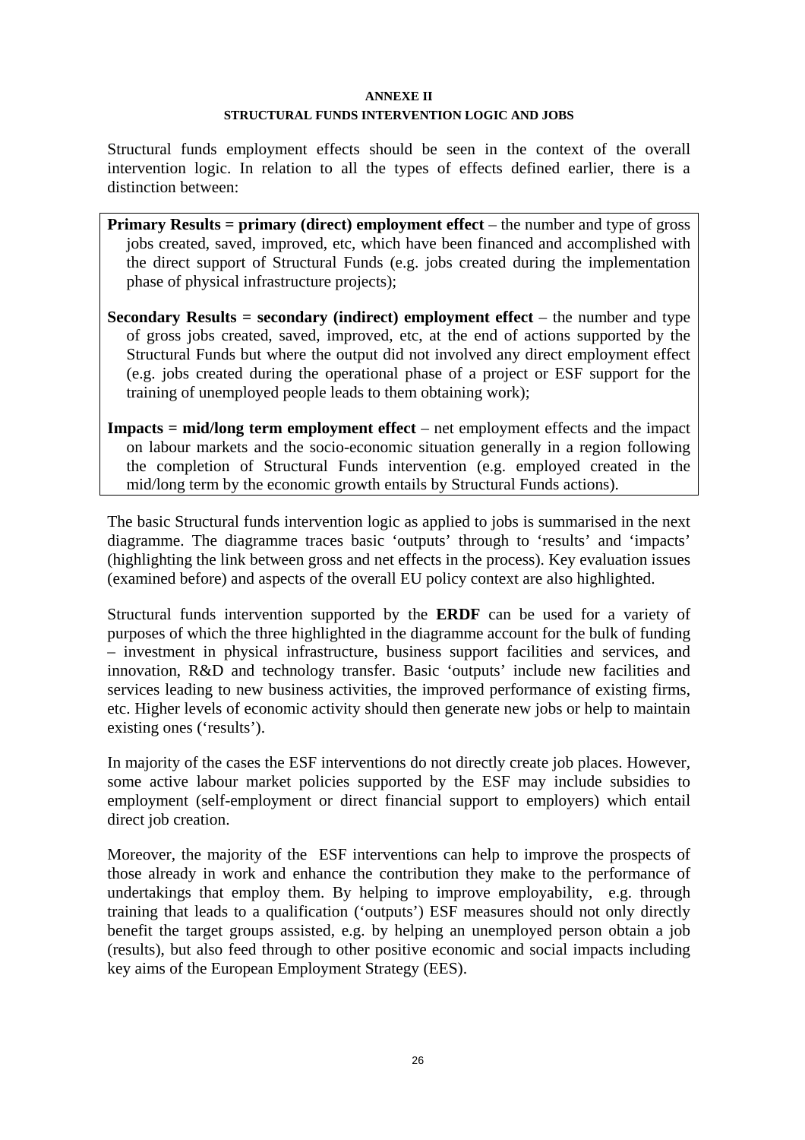#### **ANNEXE II**

### **STRUCTURAL FUNDS INTERVENTION LOGIC AND JOBS**

<span id="page-25-0"></span>Structural funds employment effects should be seen in the context of the overall intervention logic. In relation to all the types of effects defined earlier, there is a distinction between:

- **Primary Results = primary (direct) employment effect** the number and type of gross jobs created, saved, improved, etc, which have been financed and accomplished with the direct support of Structural Funds (e.g. jobs created during the implementation phase of physical infrastructure projects);
- **Secondary Results = secondary (indirect) employment effect** the number and type of gross jobs created, saved, improved, etc, at the end of actions supported by the Structural Funds but where the output did not involved any direct employment effect (e.g. jobs created during the operational phase of a project or ESF support for the training of unemployed people leads to them obtaining work);
- **Impacts = mid/long term employment effect** net employment effects and the impact on labour markets and the socio-economic situation generally in a region following the completion of Structural Funds intervention (e.g. employed created in the mid/long term by the economic growth entails by Structural Funds actions).

The basic Structural funds intervention logic as applied to jobs is summarised in the next diagramme. The diagramme traces basic 'outputs' through to 'results' and 'impacts' (highlighting the link between gross and net effects in the process). Key evaluation issues (examined before) and aspects of the overall EU policy context are also highlighted.

Structural funds intervention supported by the **ERDF** can be used for a variety of purposes of which the three highlighted in the diagramme account for the bulk of funding – investment in physical infrastructure, business support facilities and services, and innovation, R&D and technology transfer. Basic 'outputs' include new facilities and services leading to new business activities, the improved performance of existing firms, etc. Higher levels of economic activity should then generate new jobs or help to maintain existing ones ('results').

In majority of the cases the ESF interventions do not directly create job places. However, some active labour market policies supported by the ESF may include subsidies to employment (self-employment or direct financial support to employers) which entail direct job creation.

Moreover, the majority of the ESF interventions can help to improve the prospects of those already in work and enhance the contribution they make to the performance of undertakings that employ them. By helping to improve employability, e.g. through training that leads to a qualification ('outputs') ESF measures should not only directly benefit the target groups assisted, e.g. by helping an unemployed person obtain a job (results), but also feed through to other positive economic and social impacts including key aims of the European Employment Strategy (EES).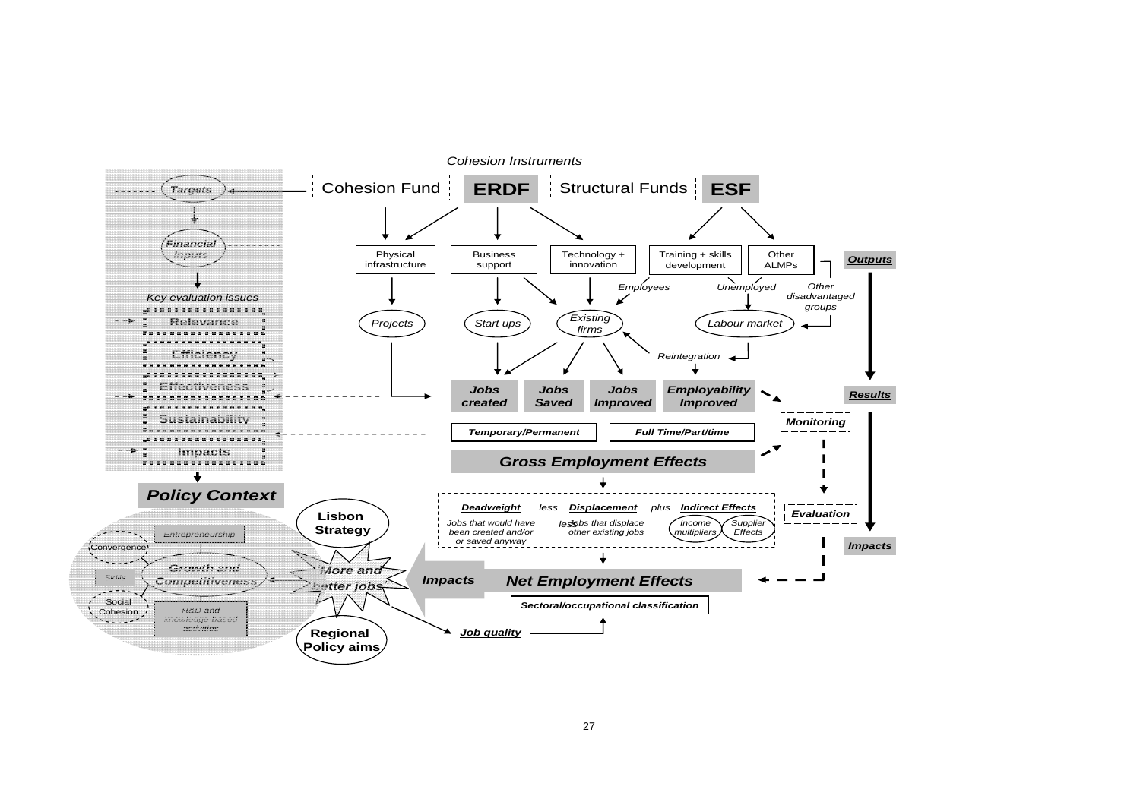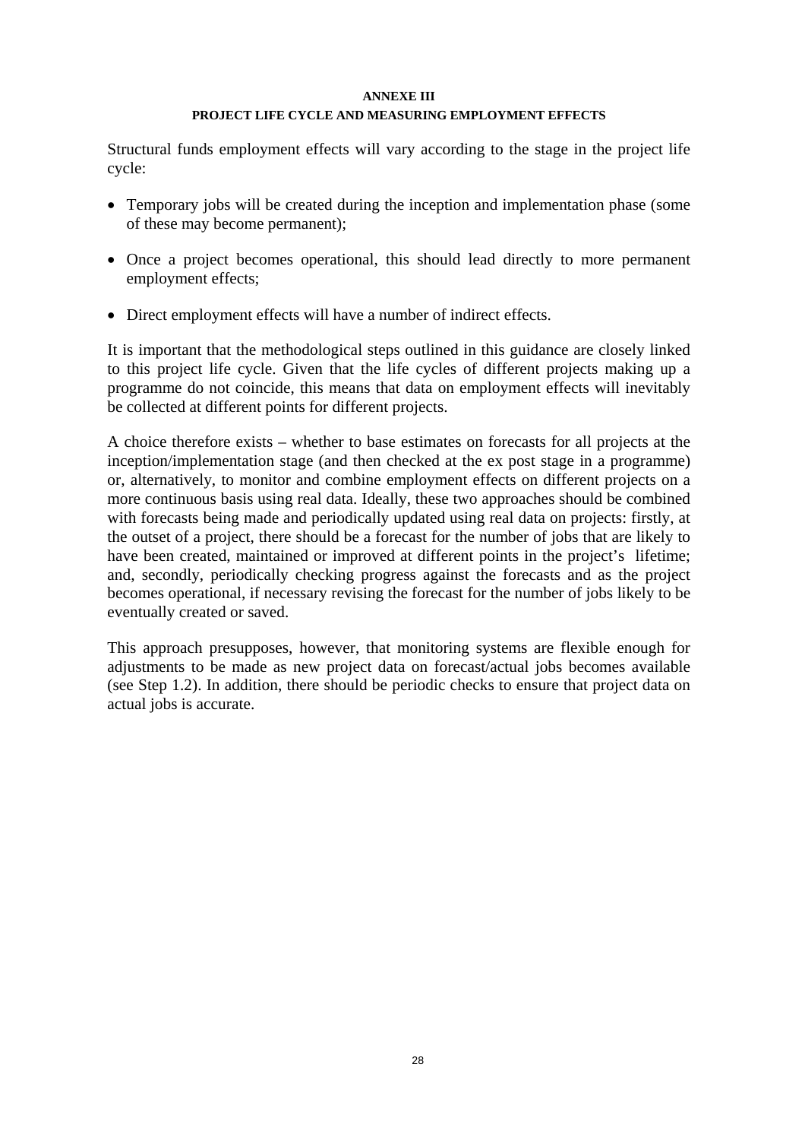#### **ANNEXE III**

### **PROJECT LIFE CYCLE AND MEASURING EMPLOYMENT EFFECTS**

<span id="page-27-0"></span>Structural funds employment effects will vary according to the stage in the project life cycle:

- Temporary jobs will be created during the inception and implementation phase (some of these may become permanent);
- Once a project becomes operational, this should lead directly to more permanent employment effects;
- Direct employment effects will have a number of indirect effects.

It is important that the methodological steps outlined in this guidance are closely linked to this project life cycle. Given that the life cycles of different projects making up a programme do not coincide, this means that data on employment effects will inevitably be collected at different points for different projects.

A choice therefore exists – whether to base estimates on forecasts for all projects at the inception/implementation stage (and then checked at the ex post stage in a programme) or, alternatively, to monitor and combine employment effects on different projects on a more continuous basis using real data. Ideally, these two approaches should be combined with forecasts being made and periodically updated using real data on projects: firstly, at the outset of a project, there should be a forecast for the number of jobs that are likely to have been created, maintained or improved at different points in the project's lifetime; and, secondly, periodically checking progress against the forecasts and as the project becomes operational, if necessary revising the forecast for the number of jobs likely to be eventually created or saved.

This approach presupposes, however, that monitoring systems are flexible enough for adjustments to be made as new project data on forecast/actual jobs becomes available (see Step 1.2). In addition, there should be periodic checks to ensure that project data on actual jobs is accurate.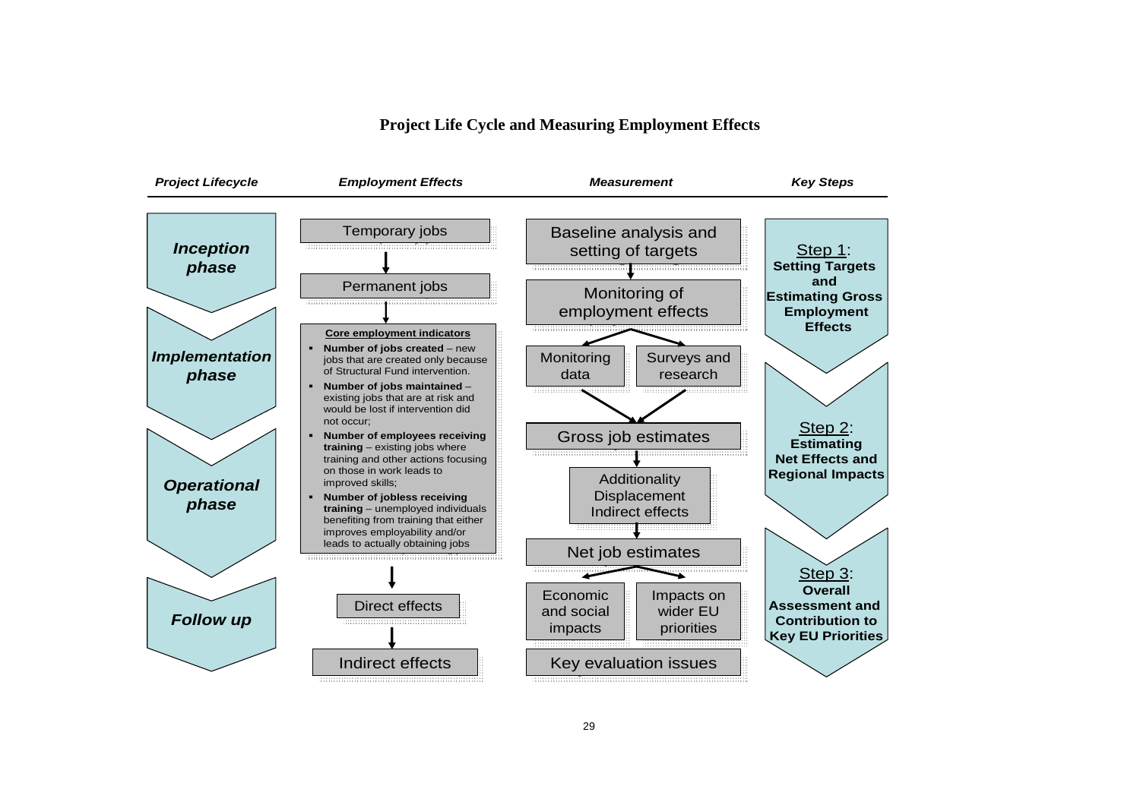### **Project Life Cycle and Measuring Employment Effects**

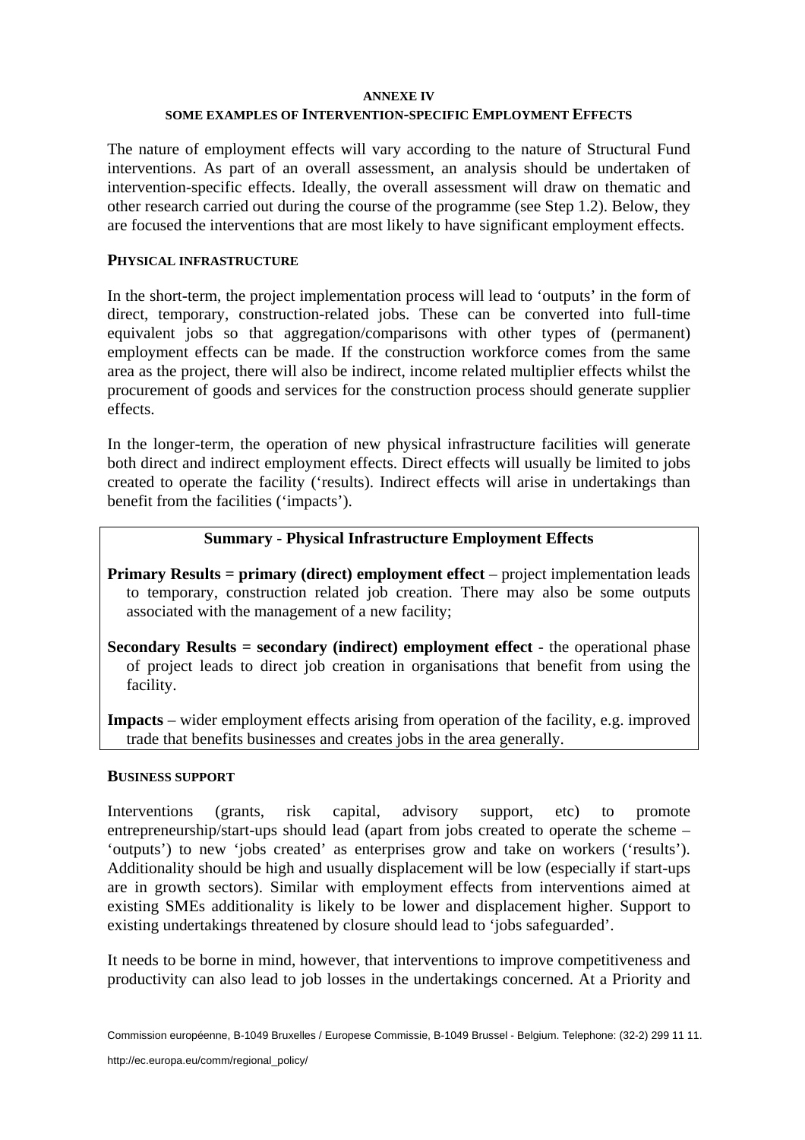#### **ANNEXE IV**

### **SOME EXAMPLES OF INTERVENTION-SPECIFIC EMPLOYMENT EFFECTS**

<span id="page-29-0"></span>The nature of employment effects will vary according to the nature of Structural Fund interventions. As part of an overall assessment, an analysis should be undertaken of intervention-specific effects. Ideally, the overall assessment will draw on thematic and other research carried out during the course of the programme (see Step 1.2). Below, they are focused the interventions that are most likely to have significant employment effects.

### **PHYSICAL INFRASTRUCTURE**

In the short-term, the project implementation process will lead to 'outputs' in the form of direct, temporary, construction-related jobs. These can be converted into full-time equivalent jobs so that aggregation/comparisons with other types of (permanent) employment effects can be made. If the construction workforce comes from the same area as the project, there will also be indirect, income related multiplier effects whilst the procurement of goods and services for the construction process should generate supplier effects.

In the longer-term, the operation of new physical infrastructure facilities will generate both direct and indirect employment effects. Direct effects will usually be limited to jobs created to operate the facility ('results). Indirect effects will arise in undertakings than benefit from the facilities ('impacts').

### **Summary - Physical Infrastructure Employment Effects**

- **Primary Results = primary (direct) employment effect** project implementation leads to temporary, construction related job creation. There may also be some outputs associated with the management of a new facility;
- **Secondary Results** = secondary (indirect) employment effect the operational phase of project leads to direct job creation in organisations that benefit from using the facility.

**Impacts** – wider employment effects arising from operation of the facility, e.g. improved trade that benefits businesses and creates jobs in the area generally.

### **BUSINESS SUPPORT**

Interventions (grants, risk capital, advisory support, etc) to promote entrepreneurship/start-ups should lead (apart from jobs created to operate the scheme – 'outputs') to new 'jobs created' as enterprises grow and take on workers ('results'). Additionality should be high and usually displacement will be low (especially if start-ups are in growth sectors). Similar with employment effects from interventions aimed at existing SMEs additionality is likely to be lower and displacement higher. Support to existing undertakings threatened by closure should lead to 'jobs safeguarded'.

It needs to be borne in mind, however, that interventions to improve competitiveness and productivity can also lead to job losses in the undertakings concerned. At a Priority and

Commission européenne, B-1049 Bruxelles / Europese Commissie, B-1049 Brussel - Belgium. Telephone: (32-2) 299 11 11.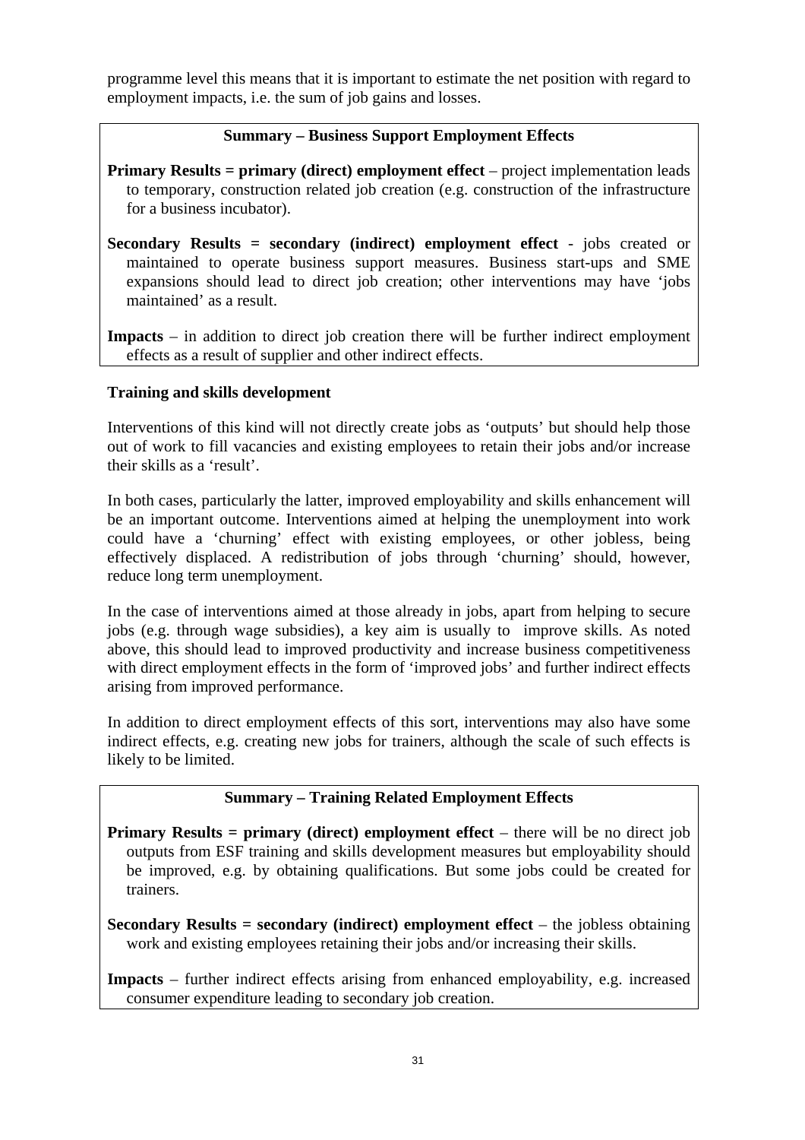programme level this means that it is important to estimate the net position with regard to employment impacts, i.e. the sum of job gains and losses.

## **Summary – Business Support Employment Effects**

**Primary Results** = **primary** (direct) employment effect – project implementation leads to temporary, construction related job creation (e.g. construction of the infrastructure for a business incubator).

**Secondary Results = secondary (indirect) employment effect** - jobs created or maintained to operate business support measures. Business start-ups and SME expansions should lead to direct job creation; other interventions may have 'jobs maintained' as a result.

**Impacts** – in addition to direct job creation there will be further indirect employment effects as a result of supplier and other indirect effects.

### **Training and skills development**

Interventions of this kind will not directly create jobs as 'outputs' but should help those out of work to fill vacancies and existing employees to retain their jobs and/or increase their skills as a 'result'.

In both cases, particularly the latter, improved employability and skills enhancement will be an important outcome. Interventions aimed at helping the unemployment into work could have a 'churning' effect with existing employees, or other jobless, being effectively displaced. A redistribution of jobs through 'churning' should, however, reduce long term unemployment.

In the case of interventions aimed at those already in jobs, apart from helping to secure jobs (e.g. through wage subsidies), a key aim is usually to improve skills. As noted above, this should lead to improved productivity and increase business competitiveness with direct employment effects in the form of 'improved jobs' and further indirect effects arising from improved performance.

In addition to direct employment effects of this sort, interventions may also have some indirect effects, e.g. creating new jobs for trainers, although the scale of such effects is likely to be limited.

### **Summary – Training Related Employment Effects**

**Primary Results** = **primary** (direct) employment effect – there will be no direct job outputs from ESF training and skills development measures but employability should be improved, e.g. by obtaining qualifications. But some jobs could be created for trainers.

**Secondary Results = secondary (indirect) employment effect** – the jobless obtaining work and existing employees retaining their jobs and/or increasing their skills.

**Impacts** – further indirect effects arising from enhanced employability, e.g. increased consumer expenditure leading to secondary job creation.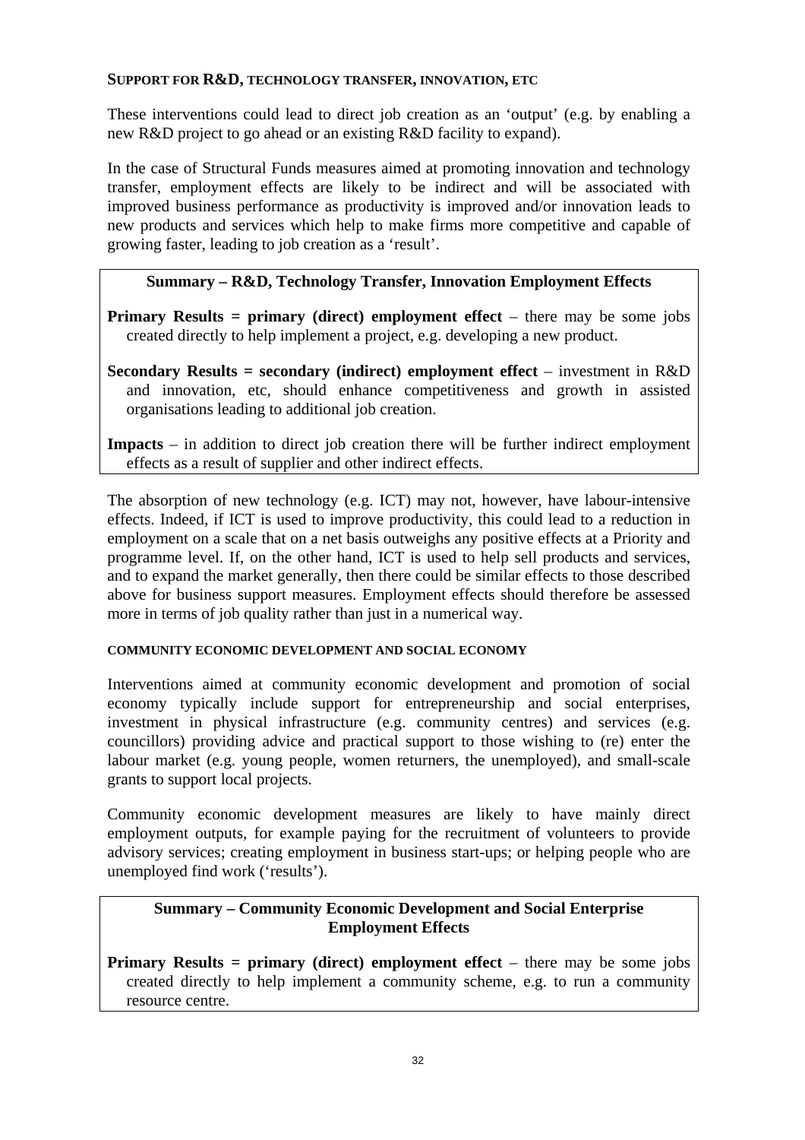### **SUPPORT FOR R&D, TECHNOLOGY TRANSFER, INNOVATION, ETC**

These interventions could lead to direct job creation as an 'output' (e.g. by enabling a new R&D project to go ahead or an existing R&D facility to expand).

In the case of Structural Funds measures aimed at promoting innovation and technology transfer, employment effects are likely to be indirect and will be associated with improved business performance as productivity is improved and/or innovation leads to new products and services which help to make firms more competitive and capable of growing faster, leading to job creation as a 'result'.

## **Summary – R&D, Technology Transfer, Innovation Employment Effects**

**Primary Results** = **primary** (direct) employment effect – there may be some jobs created directly to help implement a project, e.g. developing a new product.

**Secondary Results = secondary (indirect) employment effect** – investment in R&D and innovation, etc, should enhance competitiveness and growth in assisted organisations leading to additional job creation.

**Impacts** – in addition to direct job creation there will be further indirect employment effects as a result of supplier and other indirect effects.

The absorption of new technology (e.g. ICT) may not, however, have labour-intensive effects. Indeed, if ICT is used to improve productivity, this could lead to a reduction in employment on a scale that on a net basis outweighs any positive effects at a Priority and programme level. If, on the other hand, ICT is used to help sell products and services, and to expand the market generally, then there could be similar effects to those described above for business support measures. Employment effects should therefore be assessed more in terms of job quality rather than just in a numerical way.

### **COMMUNITY ECONOMIC DEVELOPMENT AND SOCIAL ECONOMY**

Interventions aimed at community economic development and promotion of social economy typically include support for entrepreneurship and social enterprises, investment in physical infrastructure (e.g. community centres) and services (e.g. councillors) providing advice and practical support to those wishing to (re) enter the labour market (e.g. young people, women returners, the unemployed), and small-scale grants to support local projects.

Community economic development measures are likely to have mainly direct employment outputs, for example paying for the recruitment of volunteers to provide advisory services; creating employment in business start-ups; or helping people who are unemployed find work ('results').

## **Summary – Community Economic Development and Social Enterprise Employment Effects**

**Primary Results** = **primary** (direct) employment effect – there may be some jobs created directly to help implement a community scheme, e.g. to run a community resource centre.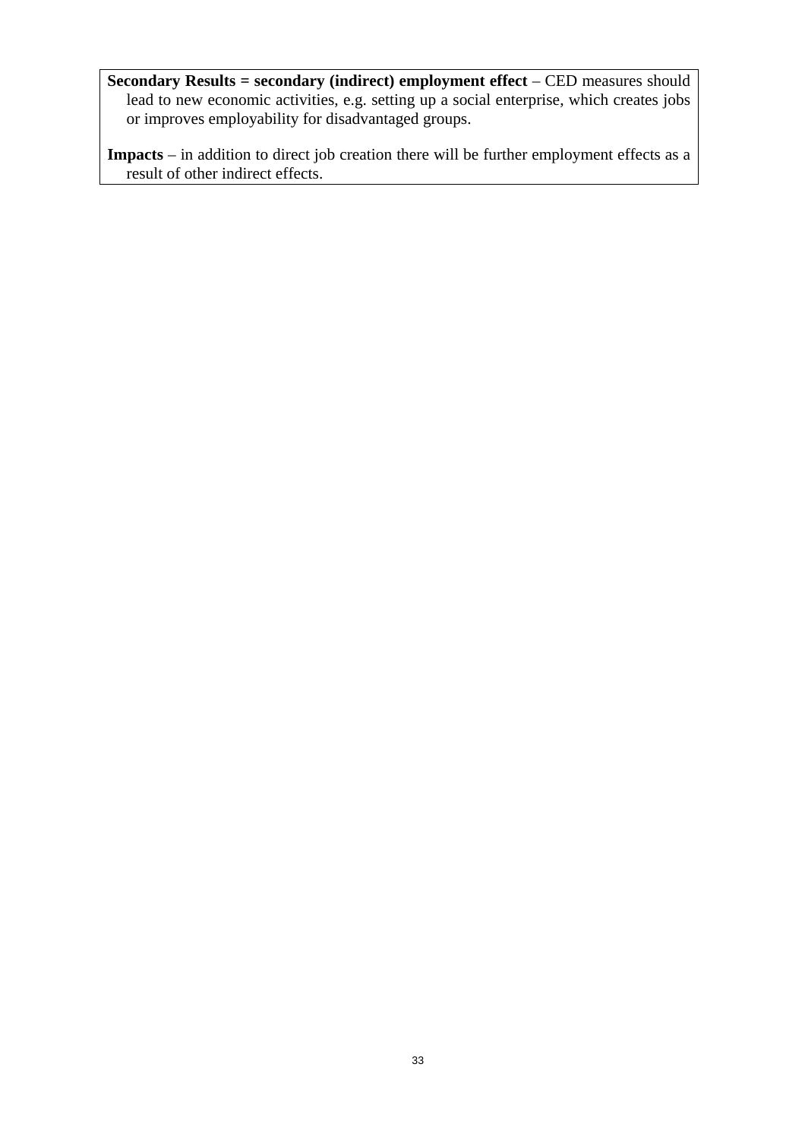**Secondary Results = secondary (indirect) employment effect** – CED measures should lead to new economic activities, e.g. setting up a social enterprise, which creates jobs or improves employability for disadvantaged groups.

**Impacts** – in addition to direct job creation there will be further employment effects as a result of other indirect effects.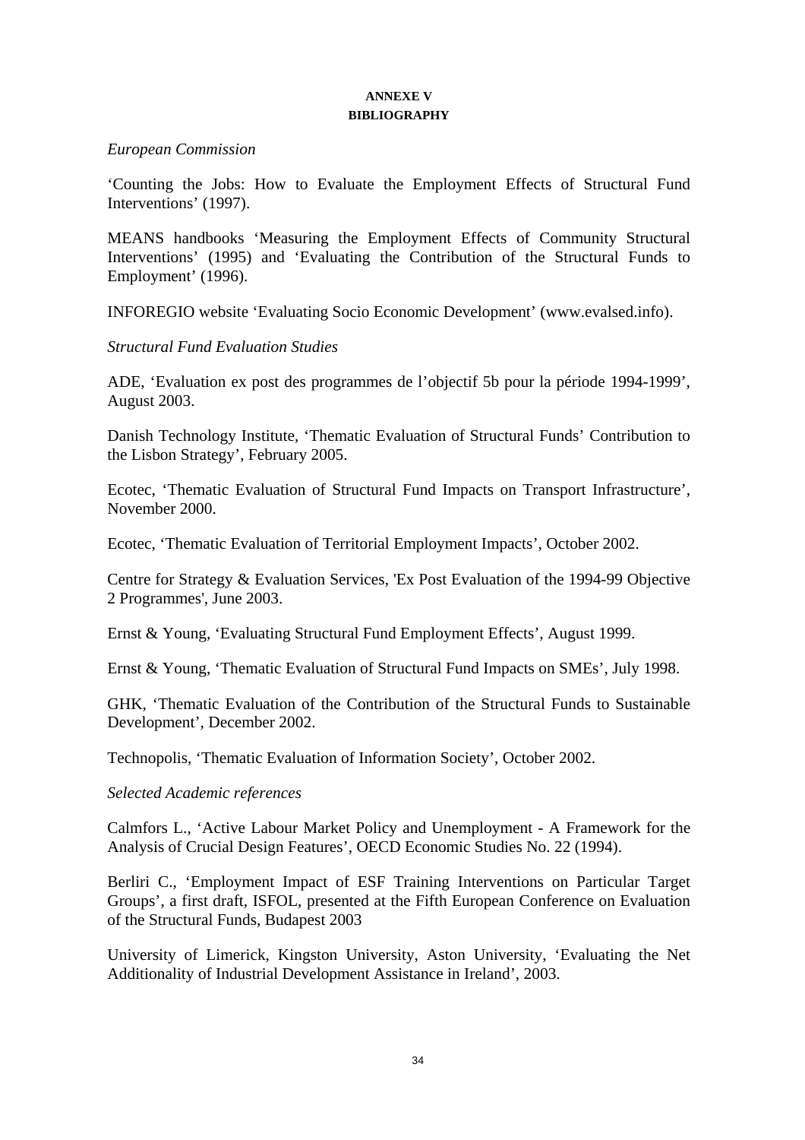### **ANNEXE V BIBLIOGRAPHY**

### <span id="page-33-0"></span>*European Commission*

'Counting the Jobs: How to Evaluate the Employment Effects of Structural Fund Interventions' (1997).

MEANS handbooks 'Measuring the Employment Effects of Community Structural Interventions' (1995) and 'Evaluating the Contribution of the Structural Funds to Employment' (1996).

INFOREGIO website 'Evaluating Socio Economic Development' (www.evalsed.info).

### *Structural Fund Evaluation Studies*

ADE, 'Evaluation ex post des programmes de l'objectif 5b pour la période 1994-1999', August 2003.

Danish Technology Institute, 'Thematic Evaluation of Structural Funds' Contribution to the Lisbon Strategy', February 2005.

Ecotec, 'Thematic Evaluation of Structural Fund Impacts on Transport Infrastructure', November 2000.

Ecotec, 'Thematic Evaluation of Territorial Employment Impacts', October 2002.

Centre for Strategy & Evaluation Services, 'Ex Post Evaluation of the 1994-99 Objective 2 Programmes', June 2003.

Ernst & Young, 'Evaluating Structural Fund Employment Effects', August 1999.

Ernst & Young, 'Thematic Evaluation of Structural Fund Impacts on SMEs', July 1998.

GHK, 'Thematic Evaluation of the Contribution of the Structural Funds to Sustainable Development', December 2002.

Technopolis, 'Thematic Evaluation of Information Society', October 2002.

### *Selected Academic references*

Calmfors L., 'Active Labour Market Policy and Unemployment - A Framework for the Analysis of Crucial Design Features', OECD Economic Studies No. 22 (1994).

Berliri C., 'Employment Impact of ESF Training Interventions on Particular Target Groups', a first draft, ISFOL, presented at the Fifth European Conference on Evaluation of the Structural Funds, Budapest 2003

University of Limerick, Kingston University, Aston University, 'Evaluating the Net Additionality of Industrial Development Assistance in Ireland', 2003.